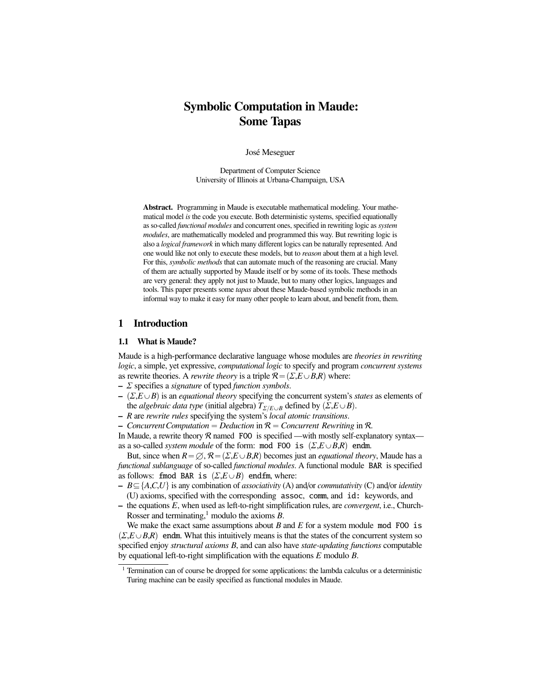# Symbolic Computation in Maude: Some Tapas

José Meseguer

Department of Computer Science University of Illinois at Urbana-Champaign, USA

Abstract. Programming in Maude is executable mathematical modeling. Your mathematical model *is* the code you execute. Both deterministic systems, specified equationally as so-called *functional modules* and concurrent ones, specified in rewriting logic as *system modules*, are mathematically modeled and programmed this way. But rewriting logic is also a *logical framework* in which many different logics can be naturally represented. And one would like not only to execute these models, but to *reason* about them at a high level. For this, *symbolic methods* that can automate much of the reasoning are crucial. Many of them are actually supported by Maude itself or by some of its tools. These methods are very general: they apply not just to Maude, but to many other logics, languages and tools. This paper presents some *tapas* about these Maude-based symbolic methods in an informal way to make it easy for many other people to learn about, and benefit from, them.

### 1 Introduction

#### 1.1 What is Maude?

Maude is a high-performance declarative language whose modules are *theories in rewriting logic*, a simple, yet expressive, *computational logic* to specify and program *concurrent systems* as rewrite theories. A *rewrite theory* is a triple  $\mathcal{R} = (\Sigma, E \cup B, R)$  where:

- Σ specifies a *signature* of typed *function symbols*.
- $(\Sigma, E \cup B)$  is an *equational theory* specifying the concurrent system's *states* as elements of the *algebraic data type* (initial algebra)  $T_{\Sigma/E\cup B}$  defined by  $(\Sigma, E \cup B)$ .
- *R* are *rewrite rules* specifying the system's *local atomic transitions*.
- $\sim$  *Concurrent Computation* = *Deduction* in  $\mathcal{R}$  = *Concurrent Rewriting* in  $\mathcal{R}$ *.*

In Maude, a rewrite theory  $R$  named FOO is specified —with mostly self-explanatory syntax as a so-called *system module* of the form: mod F00 is  $(\Sigma, E \cup B, R)$  endm.

But, since when  $R = \emptyset$ ,  $\mathcal{R} = (\Sigma, E \cup B, R)$  becomes just an *equational theory*, Maude has a *functional sublanguage* of so-called *functional modules*. A functional module BAR is specified as follows: fmod BAR is  $(\Sigma, E \cup B)$  endfm, where:

- $B \subseteq \{A, C, U\}$  is any combination of *associativity* (A) and/or *commutativity* (C) and/or *identity* (U) axioms, specified with the corresponding assoc, comm, and id: keywords, and
- the equations *E*, when used as left-to-right simplification rules, are *convergent*, i.e., Church-Rosser and terminating, $<sup>1</sup>$  modulo the axioms *B*.</sup>

We make the exact same assumptions about  $B$  and  $E$  for a system module mod F00 is  $(\Sigma, E \cup B, R)$  endm. What this intuitively means is that the states of the concurrent system so specified enjoy *structural axioms B*, and can also have *state-updating functions* computable by equational left-to-right simplification with the equations *E* modulo *B*.

<sup>1</sup> Termination can of course be dropped for some applications: the lambda calculus or a deterministic Turing machine can be easily specified as functional modules in Maude.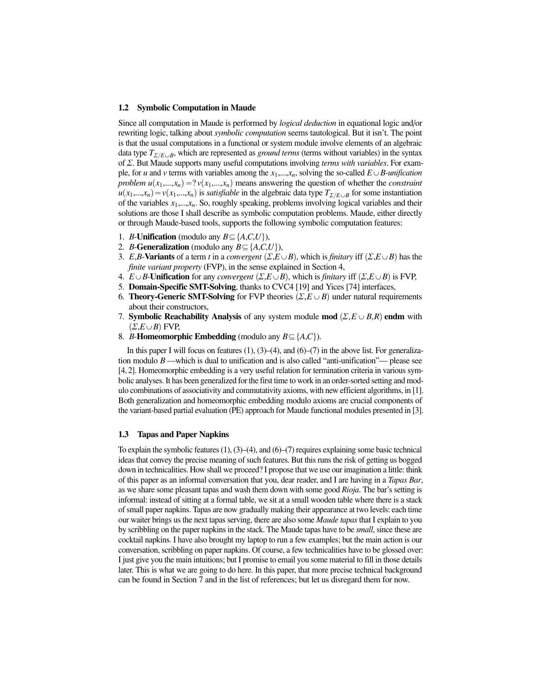#### 1.2 Symbolic Computation in Maude

Since all computation in Maude is performed by *logical deduction* in equational logic and/or rewriting logic, talking about *symbolic computation* seems tautological. But it isn't. The point is that the usual computations in a functional or system module involve elements of an algebraic data type  $T_{\Sigma/E\cup B}$ , which are represented as *ground terms* (terms without variables) in the syntax of Σ. But Maude supports many useful computations involving *terms with variables*. For example, for *u* and *v* terms with variables among the  $x_1,...,x_n$ , solving the so-called  $E \cup B$ -*unification problem*  $u(x_1,...,x_n) = ? v(x_1,...,x_n)$  *means answering the question of whether the <i>constraint*  $u(x_1,...,x_n) = v(x_1,...,x_n)$  is *satisfiable* in the algebraic data type  $T_{\Sigma/E\cup B}$  for some instantiation of the variables *<sup>x</sup>*1,...,*xn*. So, roughly speaking, problems involving logical variables and their solutions are those I shall describe as symbolic computation problems. Maude, either directly or through Maude-based tools, supports the following symbolic computation features:

- 1. *B*-**Unification** (modulo any  $B \subseteq \{A, C, U\}$ ),
- 2. *B*-Generalization (modulo any  $B \subseteq \{A, C, U\}$ ),
- 3. *E*,*B*-Variants of a term *t* in a *convergent* ( $\Sigma$ ,*E* $\cup$ *B*), which is *finitary* iff ( $\Sigma$ ,*E* $\cup$ *B*) has the *finite variant property* (FVP), in the sense explained in Section 4,
- 4. *E* $\cup$ *B*-Unification for any *convergent* ( $\Sigma$ ,*E* $\cup$ *B*), which is *finitary* iff ( $\Sigma$ ,*E* $\cup$ *B*) is FVP,
- 5. Domain-Specific SMT-Solving, thanks to CVC4 [19] and Yices [74] interfaces,
- 6. **Theory-Generic SMT-Solving** for FVP theories  $(\Sigma, E \cup B)$  under natural requirements about their constructors,
- 7. **Symbolic Reachability Analysis** of any system module **mod**  $(\Sigma, E \cup B, R)$  endm with  $(\Sigma, E \cup B)$  FVP,
- 8. *B*-Homeomorphic Embedding (modulo any  $B \subseteq \{A, C\}$ ).

In this paper I will focus on features  $(1)$ ,  $(3)$ – $(4)$ , and  $(6)$ – $(7)$  in the above list. For generalization modulo *B* —which is dual to unification and is also called "anti-unification"— please see [4, 2]. Homeomorphic embedding is a very useful relation for termination criteria in various symbolic analyses. It has been generalized for the first time to work in an order-sorted setting and modulo combinations of associativity and commutativity axioms, with new efficient algorithms, in [1]. Both generalization and homeomorphic embedding modulo axioms are crucial components of the variant-based partial evaluation (PE) approach for Maude functional modules presented in [3].

#### 1.3 Tapas and Paper Napkins

To explain the symbolic features  $(1)$ ,  $(3)$ – $(4)$ , and  $(6)$ – $(7)$  requires explaining some basic technical ideas that convey the precise meaning of such features. But this runs the risk of getting us bogged down in technicalities. How shall we proceed? I propose that we use our imagination a little: think of this paper as an informal conversation that you, dear reader, and I are having in a *Tapas Bar*, as we share some pleasant tapas and wash them down with some good *Rioja*. The bar's setting is informal: instead of sitting at a formal table, we sit at a small wooden table where there is a stack of small paper napkins. Tapas are now gradually making their appearance at two levels: each time our waiter brings us the next tapas serving, there are also some *Maude tapas* that I explain to you by scribbling on the paper napkins in the stack. The Maude tapas have to be *small*, since these are cocktail napkins. I have also brought my laptop to run a few examples; but the main action is our conversation, scribbling on paper napkins. Of course, a few technicalities have to be glossed over: I just give you the main intuitions; but I promise to email you some material to fill in those details later. This is what we are going to do here. In this paper, that more precise technical background can be found in Section 7 and in the list of references; but let us disregard them for now.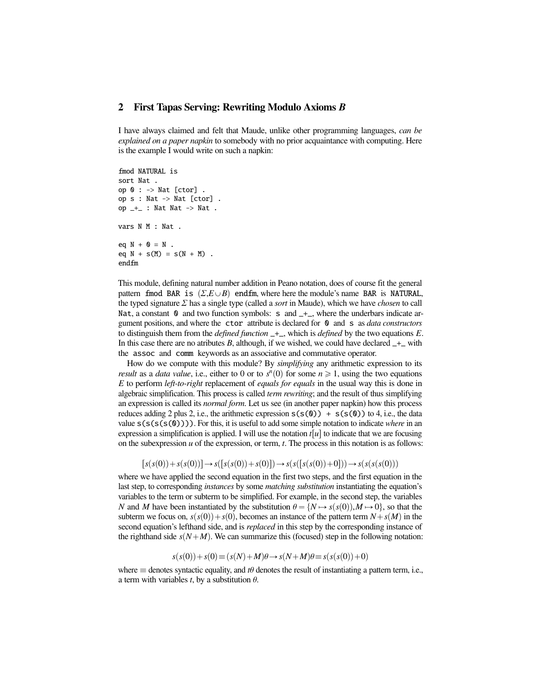### 2 First Tapas Serving: Rewriting Modulo Axioms *B*

I have always claimed and felt that Maude, unlike other programming languages, *can be explained on a paper napkin* to somebody with no prior acquaintance with computing. Here is the example I would write on such a napkin:

```
fmod NATURAL is
sort Nat .
op 0 : \rightarrow Nat [ctor].
op s : Nat -> Nat [ctor] .
op -+- : Nat Nat -> Nat .
vars N M : Nat .
eq N + 0 = N.
eq N + s(M) = s(N + M).
endfm
```
This module, defining natural number addition in Peano notation, does of course fit the general pattern fmod BAR is  $(\Sigma, E \cup B)$  endfm, where here the module's name BAR is NATURAL, the typed signature Σ has a single type (called a *sort* in Maude), which we have *chosen* to call Nat, a constant  $\theta$  and two function symbols: s and  $_{+}$ , where the underbars indicate argument positions, and where the ctor attribute is declared for 0 and s as *data constructors* to distinguish them from the *defined function* \_+\_, which is *defined* by the two equations *E*. In this case there are no atributes *B*, although, if we wished, we could have declared  $-$ + $-$  with the assoc and comm keywords as an associative and commutative operator.

How do we compute with this module? By *simplifying* any arithmetic expression to its *result* as a *data value*, i.e., either to 0 or to  $s<sup>n</sup>(0)$  for some  $n \ge 1$ , using the two equations *E* to perform *left-to-right* replacement of *equals for equals* in the usual way this is done in algebraic simplification. This process is called *term rewriting*; and the result of thus simplifying an expression is called its *normal form*. Let us see (in another paper napkin) how this process reduces adding 2 plus 2, i.e., the arithmetic expression  $s(s(0)) + s(s(0))$  to 4, i.e., the data value  $s(s(s(s(0))))$ . For this, it is useful to add some simple notation to indicate *where* in an expression a simplification is applied. I will use the notation  $t[u]$  to indicate that we are focusing on the subexpression *u* of the expression, or term, *t*. The process in this notation is as follows:

$$
[s(s(0)) + s(s(0))] \to s([s(s(0)) + s(0)]) \to s(s([s(s(0)) + 0])) \to s(s(s(s(0))))
$$

where we have applied the second equation in the first two steps, and the first equation in the last step, to corresponding *instances* by some *matching substitution* instantiating the equation's variables to the term or subterm to be simplified. For example, in the second step, the variables *N* and *M* have been instantiated by the substitution  $\theta = \{N \mapsto s(s(0)), M \mapsto 0\}$ , so that the subterm we focus on,  $s(s(0)) + s(0)$ , becomes an instance of the pattern term  $N + s(M)$  in the second equation's lefthand side, and is *replaced* in this step by the corresponding instance of the righthand side  $s(N+M)$ . We can summarize this (focused) step in the following notation:

$$
s(s(0)) + s(0) \equiv (s(N) + M)\theta \to s(N + M)\theta \equiv s(s(s(0)) + 0)
$$

where  $\equiv$  denotes syntactic equality, and *t* $\theta$  denotes the result of instantiating a pattern term, i.e., a term with variables  $t$ , by a substitution  $\theta$ .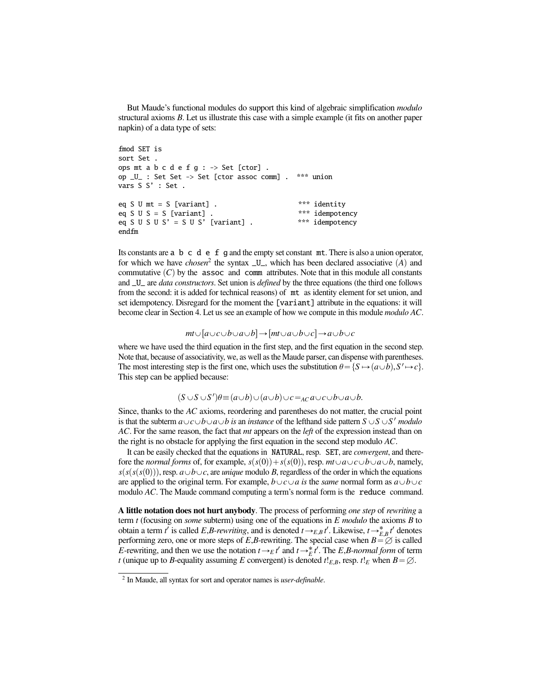But Maude's functional modules do support this kind of algebraic simplification *modulo* structural axioms *B*. Let us illustrate this case with a simple example (it fits on another paper napkin) of a data type of sets:

```
fmod SET is
sort Set .
ops mt a b c d e f g : \rightarrow Set [ctor].
op _U_ : Set Set -> Set [ctor assoc comm] . *** union
vars S S' : Set .
eq S U mt = S [variant] . \star\star\star identity<br>eq S U S = S [variant] . \star\star\star idempotency
eq S U S = S [variant] . \star \star \star idempotency<br>eq S U S U S' = S U S' [variant] . \star \star \star idempotency
eq S U S U S' = S U S' [variant] .
endfm
```
Its constants are a b c d e f g and the empty set constant mt. There is also a union operator, for which we have *chosen*<sup>2</sup> the syntax  $U_{-}$ , which has been declared associative (A) and commutative  $(C)$  by the assoc and comm attributes. Note that in this module all constants and \_U\_ are *data constructors*. Set union is *defined* by the three equations (the third one follows from the second: it is added for technical reasons) of mt as identity element for set union, and set idempotency. Disregard for the moment the [variant] attribute in the equations: it will become clear in Section 4. Let us see an example of how we compute in this module *modulo AC*.

 $mt\cup[a\cup c\cup b\cup a\cup b]\rightarrow[mt\cup a\cup b\cup c]\rightarrow a\cup b\cup c$ 

where we have used the third equation in the first step, and the first equation in the second step. Note that, because of associativity, we, as well as the Maude parser, can dispense with parentheses. The most interesting step is the first one, which uses the substitution  $\theta = \{S \mapsto (a \cup b), S' \mapsto c\}$ .<br>This step can be applied because This step can be applied because:

$$
(S \cup S \cup S')\theta \equiv (a \cup b) \cup (a \cup b) \cup c =_{AC} a \cup c \cup b \cup a \cup b.
$$

Since, thanks to the *AC* axioms, reordering and parentheses do not matter, the crucial point is that the subterm  $a \cup c \cup b \cup a \cup b$  *is* an *instance* of the lefthand side pattern  $S \cup S \cup S'$  *modulo AC*. For the same reason, the fact that *mt* appears on the *left* of the expression instead than on the right is no obstacle for applying the first equation in the second step modulo *AC*.

It can be easily checked that the equations in NATURAL, resp. SET, are *convergent*, and therefore the *normal forms* of, for example,  $s(s(0)) + s(s(0))$ , resp.  $mt \cup a \cup c \cup b \cup a \cup b$ , namely,  $s(s(s(s(0)))$ , resp.  $a \cup b \cup c$ , are *unique* modulo *B*, regardless of the order in which the equations are applied to the original term. For example,  $b \cup c \cup a$  is the *same* normal form as  $a \cup b \cup c$ modulo *AC*. The Maude command computing a term's normal form is the reduce command.

A little notation does not hurt anybody. The process of performing *one step* of *rewriting* a term *t* (focusing on *some* subterm) using one of the equations in *E modulo* the axioms *B* to obtain a term *t'* is called *E*,*B*-*rewriting*, and is denoted  $t \rightarrow_{E,B} t'$ . Likewise,  $t \rightarrow_{E,B}^* t'$  denotes performing zero, one or more steps of *F R*-rewriting. The special case when  $B = \emptyset$  is called performing zero, one or more steps of *E*,*B*-rewriting. The special case when  $B = \emptyset$  is called *E*-rewriting and then we use the notation  $t \rightarrow \varepsilon t'$  and  $t \rightarrow^* t'$ . The *E B-normal form* of term *E*-rewriting, and then we use the notation  $t \rightarrow_E t'$  and  $t \rightarrow_E t'$ . The *E*,*B*-*normal form* of term *t* (unique up to *R*-equality assuming *E* convergent) is denoted  $t \mid_{E, B}$  resp.  $t \mid_{E}$  when  $B = \emptyset$ *t* (unique up to *B*-equality assuming *E* convergent) is denoted  $t!_{E,B}$ , resp.  $t!_E$  when  $B = \emptyset$ .

<sup>2</sup> In Maude, all syntax for sort and operator names is *user-definable*.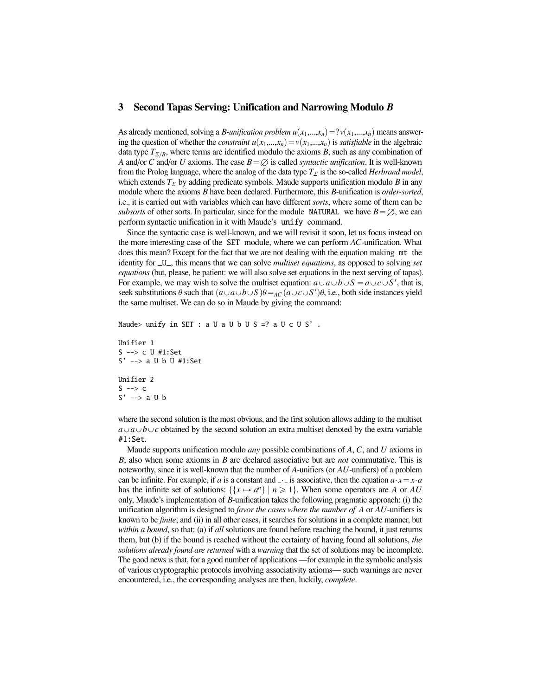#### 3 Second Tapas Serving: Unification and Narrowing Modulo *B*

As already mentioned, solving a *B*-*unification problem*  $u(x_1,...,x_n) = ?v(x_1,...,x_n)$  means answering the question of whether the *constraint*  $u(x_1,...,x_n) = v(x_1,...,x_n)$  is *satisfiable* in the algebraic data type  $T_{\Sigma/B}$ , where terms are identified modulo the axioms *B*, such as any combination of *A* and/or *C* and/or *U* axioms. The case  $B = \emptyset$  is called *syntactic unification*. It is well-known from the Prolog language, where the analog of the data type  $T_{\Sigma}$  is the so-called *Herbrand model*, which extends  $T_{\Sigma}$  by adding predicate symbols. Maude supports unification modulo *B* in any module where the axioms *B* have been declared. Furthermore, this *B*-unification is *order-sorted*, i.e., it is carried out with variables which can have different *sorts*, where some of them can be *subsorts* of other sorts. In particular, since for the module NATURAL we have  $B = \emptyset$ , we can perform syntactic unification in it with Maude's unify command.

Since the syntactic case is well-known, and we will revisit it soon, let us focus instead on the more interesting case of the SET module, where we can perform *AC*-unification. What does this mean? Except for the fact that we are not dealing with the equation making mt the identity for \_U\_, this means that we can solve *multiset equations*, as opposed to solving *set equations* (but, please, be patient: we will also solve set equations in the next serving of tapas). For example, we may wish to solve the multiset equation:  $a \cup a \cup b \cup S = a \cup c \cup S'$ , that is, seek substitutions  $\theta$  such that  $(a \cup a \cup b \cup S) \theta =_{AC} (a \cup c \cup S') \theta$ , i.e., both side instances yield<br>the same multiset. We can do so in Maude by giving the command. the same multiset. We can do so in Maude by giving the command:

Maude> unify in SET : a U a U b U S =? a U c U S'.

```
Unifier 1
S --> c U #1:Set
S' --> a U b U #1:Set
Unifier 2
S \rightarrow > cS' --> a U b
```
where the second solution is the most obvious, and the first solution allows adding to the multiset  $a \cup b \cup c$  obtained by the second solution an extra multiset denoted by the extra variable #1:Set.

Maude supports unification modulo *any* possible combinations of *A*, *C*, and *U* axioms in *B*; also when some axioms in *B* are declared associative but are *not* commutative. This is noteworthy, since it is well-known that the number of *A*-unifiers (or *AU*-unifiers) of a problem can be infinite. For example, if *a* is a constant and  $\overline{\ }$  is associative, then the equation  $a \cdot x = x \cdot a$ has the infinite set of solutions:  $\{\{x \mapsto a^n\} \mid n \geq 1\}$ . When some operators are *A* or *AU* only, Maude's implementation of *B*-unification takes the following pragmatic approach: (i) the unification algorithm is designed to *favor the cases where the number of A* or *AU*-unifiers is known to be *finite*; and (ii) in all other cases, it searches for solutions in a complete manner, but *within a bound*, so that: (a) if *all* solutions are found before reaching the bound, it just returns them, but (b) if the bound is reached without the certainty of having found all solutions, *the solutions already found are returned* with a *warning* that the set of solutions may be incomplete. The good news is that, for a good number of applications —for example in the symbolic analysis of various cryptographic protocols involving associativity axioms— such warnings are never encountered, i.e., the corresponding analyses are then, luckily, *complete*.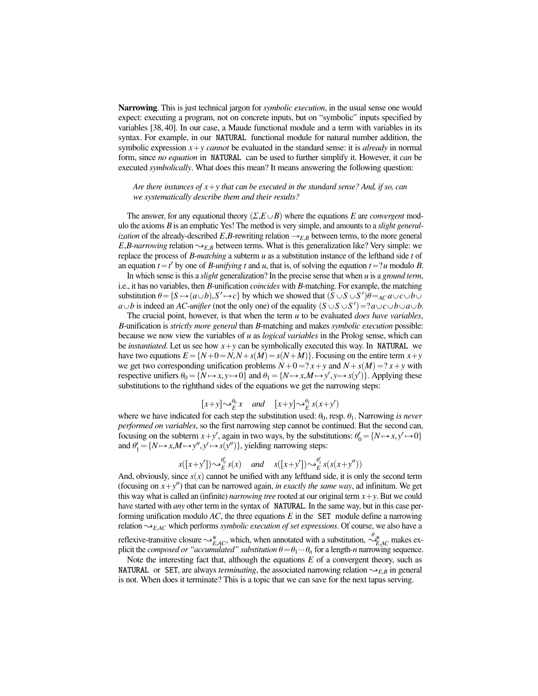Narrowing. This is just technical jargon for *symbolic execution*, in the usual sense one would expect: executing a program, not on concrete inputs, but on "symbolic" inputs specified by variables [38, 40]. In our case, a Maude functional module and a term with variables in its syntax. For example, in our NATURAL functional module for natural number addition, the symbolic expression  $x + y$  *cannot* be evaluated in the standard sense: it is *already* in normal form, since *no equation* in NATURAL can be used to further simplify it. However, it *can* be executed *symbolically*. What does this mean? It means answering the following question:

*Are there instances of*  $x + y$  *that can be executed in the standard sense? And, if so, can we systematically describe them and their results?*

The answer, for any equational theory  $(\Sigma, E \cup B)$  where the equations *E* are *convergent* modulo the axioms *B* is an emphatic Yes! The method is very simple, and amounts to a *slight generalization* of the already-described  $E, B$ -rewriting relation  $\rightarrow_{E,B}$  between terms, to the more general *E*,*B*-*narrowing* relation  $\sim_{E,B}$  between terms. What is this generalization like? Very simple: we replace the process of *B*-*matching* a subterm *u* as a substitution instance of the lefthand side *t* of an equation  $t = t'$  by one of *B*-*unifying*  $t$  and  $u$ , that is, of solving the equation  $t = ?u$  modulo *B*.

In which sense is this a *slight* generalization? In the precise sense that when *u* is a *ground term*, i.e., it has no variables, then *B*-unification *coincides* with *B*-matching. For example, the matching substitution  $\theta = \{S \mapsto (a \cup b), S' \mapsto c\}$  by which we showed that  $(S \cup S \cup S')\theta =_{AC} a \cup c \cup b \cup c$ <br>*a*) *b* is indeed an *AC*-*unifier* (not the only one) of the equality  $(S \cup S \cup S') = ?a \cup c \cup b \cup a \cup b$ *a* $\cup$ *b* is indeed an *AC*-*unifier* (not the only one) of the equality  $(S \cup S \cup S') = ?a \cup c \cup b \cup a \cup b$ .

The crucial point, however, is that when the term *u* to be evaluated *does have variables*, *B*-unification is *strictly more general* than *B*-matching and makes *symbolic execution* possible: because we now view the variables of *u* as *logical variables* in the Prolog sense, which can be *instantiated*. Let us see how  $x + y$  can be symbolically executed this way. In NATURAL we have two equations  $E = \{N+0=N, N+s(M)=s(N+M)\}\$ . Focusing on the entire term  $x+y$ we get two corresponding unification problems  $N+0=?x+y$  and  $N+s(M)=?x+y$  with respective unifiers  $\theta_0 = \{N \mapsto x, y \mapsto 0\}$  and  $\theta_1 = \{N \mapsto x, M \mapsto y', y \mapsto s(y')\}$ . Applying these substitutions to the righthand sides of the equations we get the narrowing steps: substitutions to the righthand sides of the equations we get the narrowing steps:

$$
[x+y] \sim_E^{\theta_0} x \quad and \quad [x+y] \sim_E^{\theta_1} s(x+y')
$$

where we have indicated for each step the substitution used:  $\theta_0$ , resp.  $\theta_1$ . Narrowing *is never performed on variables*, so the first narrowing step cannot be continued. But the second can, focusing on the subterm  $x + y'$ , again in two ways, by the substitutions:  $\theta'_0 = \{N \mapsto x, y' \mapsto 0\}$ <br>and  $\theta' = \{N \mapsto x \land N \mapsto y'' \lor \mapsto s(y'')\}$  yielding narrowing steps: and  $\theta'_1 = \{ N \mapsto x, M \mapsto y'', y' \mapsto s(y'') \}$ , yielding narrowing steps:

$$
s([x+y'])\sim_E^{\theta'_0} s(x)
$$
 and  $s([x+y'])\sim_E^{\theta'_1} s(s(x+y''))$ 

And, obviously, since  $s(x)$  cannot be unified with any lefthand side, it is only the second term (focusing on  $x + y''$ ) that can be narrowed again, *in exactly the same way*, ad infinitum. We get this way what is called an (infinite) *narrowing tree* rooted at our original term  $x + y$ . But we could have started with *any* other term in the syntax of NATURAL. In the same way, but in this case performing unification modulo *AC*, the three equations *E* in the SET module define a narrowing relation  $\sim_{EAC}$  which performs *symbolic execution of set expressions*. Of course, we also have a reflexive-transitive closure  $\sim_{E,AC}^*$ , which, when annotated with a substitution,  $\sim_{E,AC}^*$  makes ex-<br>plicit the *composed or "accumulated"* substitution  $\theta = \theta \cdots \theta$  for a length-*n* parrowing sequence plicit the *composed or "accumulated" substitution*  $\theta = \theta_1 \cdots \theta_n$  for a length-*n* narrowing sequence.

Note the interesting fact that, although the equations  $E$  of a convergent theory, such as NATURAL or SET, are always *terminating*, the associated narrowing relation  $\sim_{E,B}$  in general is not. When does it terminate? This is a topic that we can save for the next tapas serving.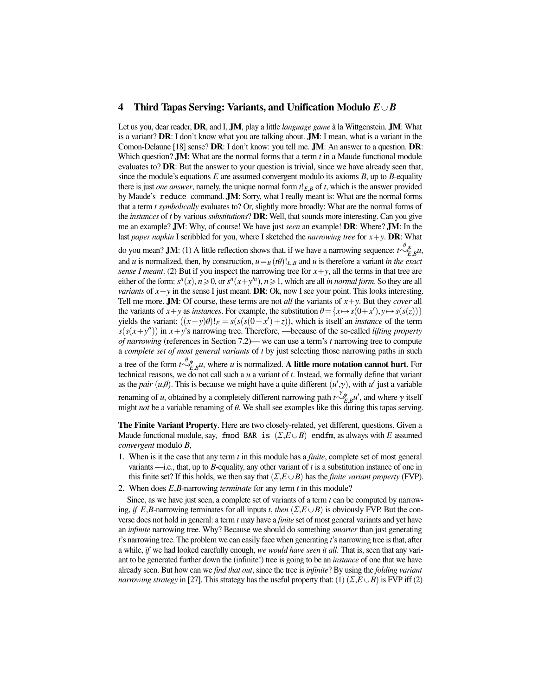#### 4 Third Tapas Serving: Variants, and Unification Modulo  $E\cup B$

Let us you, dear reader, **DR**, and I, **JM**, play a little *language game* à la Wittgenstein. **JM**: What is a variant? DR: I don't know what you are talking about. JM: I mean, what is a variant in the Comon-Delaune [18] sense? DR: I don't know: you tell me. JM: An answer to a question. DR: Which question? JM: What are the normal forms that a term *t* in a Maude functional module evaluates to? DR: But the answer to your question is trivial, since we have already seen that, since the module's equations *E* are assumed convergent modulo its axioms *B*, up to *B*-equality there is just *one answer*, namely, the unique normal form *<sup>t</sup>*!*E*,*<sup>B</sup>* of *<sup>t</sup>*, which is the answer provided by Maude's reduce command. JM: Sorry, what I really meant is: What are the normal forms that a term *t symbolically* evaluates to? Or, slightly more broadly: What are the normal forms of the *instances* of *t* by various *substitutions*? DR: Well, that sounds more interesting. Can you give me an example? JM: Why, of course! We have just *seen* an example! DR: Where? JM: In the last *paper napkin* I scribbled for you, where I sketched the *narrowing tree* for  $x + y$ . **DR**: What

do you mean? **JM**: (1) A little reflection shows that, if we have a narrowing sequence:  $t \stackrel{\theta *}{\sim_{F}}_{R} u$ , and *u* is normalized, then, by construction,  $u = B(t\theta)!_{E,B}$  and *u* is therefore a variant *in the exact* sense *I meant* (2) But if you inspect the parrowing tree for  $x + y$  all the terms in that tree are *sense I meant.* (2) But if you inspect the narrowing tree for  $x + y$ , all the terms in that tree are either of the form:  $s^n(x)$ ,  $n \ge 0$ , or  $s^n(x+y^n)$ ,  $n \ge 1$ , which are all *in normal form*. So they are all *variants* of  $x + y$  in the sense I just meant. DR: Ok, now I see your point. This looks interesting. Tell me more. **JM**: Of course, these terms are not *all* the variants of  $x + y$ . But they *cover* all the variants of  $x + y$  as *instances*. For example, the substitution  $\theta = \{x \mapsto s(0 + x'), y \mapsto s(s(z))\}$ <br>vields the variant:  $((x + y)\theta)_x = s(s(s(0 + x') + z))$  which is itself an *instance* of the term yields the variant:  $((x+y)\theta)!_E = s(s(s(0+x')+z))$ , which is itself an *instance* of the term<br> $s(s(x+y''))$  in  $x+y'$ s narrowing tree. Therefore —because of the so-called *lifting property*  $s(s(x+y''))$  in  $x+y'$ s narrowing tree. Therefore, —because of the so-called *lifting property of narrowing* (references in Section 7.2)— we can use a term's *t* narrowing tree to compute a *complete set of most general variants* of *t* by just selecting those narrowing paths in such

a tree of the form  $t \stackrel{\psi_{*}}{\sim_{E}^*} u$ , where *u* is normalized. A little more notation cannot hurt. For detection  $\iota^{\infty}E_B$ , where *u* is normalized. A **international reasons** in the technical reasons, we do not call such a *u* a variant of *t*. Instead, we formally define that variant as the *pair*  $(u,\theta)$ . This is because we might have a quite different  $(u',\gamma)$ , with *u*<sup>*'*</sup> just a variable renaming of *u*, obtained by a completely different narrowing path  $t \sim_{E,B}^x u'$ , and where γ itself might *not* be a variable renaming of θ. We shall see examples like this during this tanas serving Figure *E*, *B* and *not* be a variable renaming of  $\theta$ . We shall see examples like this during this tapas serving.

The Finite Variant Property. Here are two closely-related, yet different, questions. Given a Maude functional module, say, fmod BAR is  $(\Sigma, E \cup B)$  endfm, as always with *E* assumed *convergent* modulo *B*,

- 1. When is it the case that any term *t* in this module has a *finite*, complete set of most general variants —i.e., that, up to *B*-equality, any other variant of *t* is a substitution instance of one in this finite set? If this holds, we then say that  $(\Sigma, E \cup B)$  has the *finite variant property* (FVP).
- 2. When does *<sup>E</sup>*,*B*-narrowing *terminate* for any term *<sup>t</sup>* in this module?

Since, as we have just seen, a complete set of variants of a term *t* can be computed by narrowing, *if E*,*B*-narrowing terminates for all inputs *t*, *then*  $(\Sigma, E \cup B)$  is obviously FVP. But the converse does not hold in general: a term *t* may have a *finite* set of most general variants and yet have an *infinite* narrowing tree. Why? Because we should do something *smarter* than just generating *t*'s narrowing tree. The problem we can easily face when generating *t*'s narrowing tree is that, after a while, *if* we had looked carefully enough, *we would have seen it all*. That is, seen that any variant to be generated further down the (infinite!) tree is going to be an *instance* of one that we have already seen. But how can we *find that out*, since the tree is *infinite*? By using the *folding variant narrowing strategy* in [27]. This strategy has the useful property that: (1)  $(\Sigma, E \cup B)$  is FVP iff (2)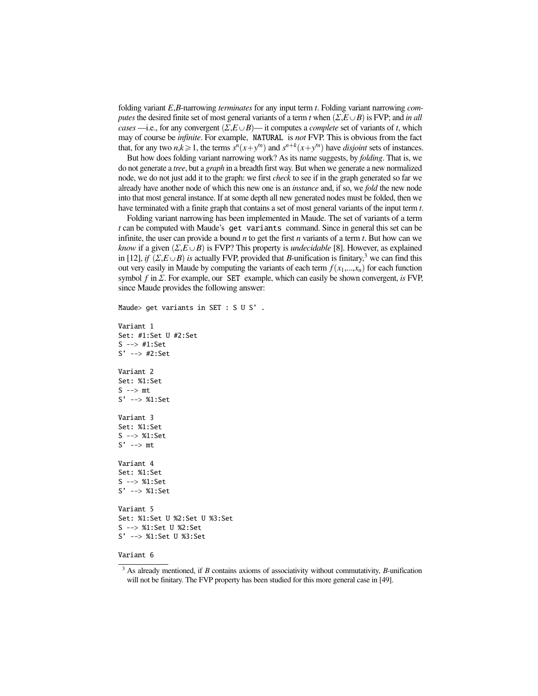folding variant *<sup>E</sup>*,*B*-narrowing *terminates* for any input term *<sup>t</sup>*. Folding variant narrowing *computes* the desired finite set of most general variants of a term *t* when  $(\Sigma, E \cup B)$  is FVP; and *in all cases* —i.e., for any convergent  $(\Sigma, E \cup B)$ — it computes a *complete* set of variants of *t*, which may of course be *infinite*. For example, NATURAL is *not* FVP. This is obvious from the fact that, for any two  $n, k \ge 1$ , the terms  $s^n(x+y^n)$  and  $s^{n+k}(x+y^n)$  have *disjoint* sets of instances.<br>But how does folding variant narrowing work? As its name suggests by *folding*. That is we

But how does folding variant narrowing work? As its name suggests, by *folding*. That is, we do not generate a *tree*, but a *graph* in a breadth first way. But when we generate a new normalized node, we do not just add it to the graph: we first *check* to see if in the graph generated so far we already have another node of which this new one is an *instance* and, if so, we *fold* the new node into that most general instance. If at some depth all new generated nodes must be folded, then we have terminated with a finite graph that contains a set of most general variants of the input term *t*.

Folding variant narrowing has been implemented in Maude. The set of variants of a term *t* can be computed with Maude's get variants command. Since in general this set can be infinite, the user can provide a bound *n* to get the first *n* variants of a term *t*. But how can we *know* if a given  $(\Sigma, E \cup B)$  is FVP? This property is *undecidable* [8]. However, as explained in [12], *if*  $(\Sigma, E \cup B)$  *is* actually FVP, provided that *B*-unification is finitary,<sup>3</sup> we can find this out very easily in Maude by computing the variants of each term  $f(x_1,...,x_n)$  for each function symbol *<sup>f</sup>* in Σ. For example, our SET example, which can easily be shown convergent, *is* FVP, since Maude provides the following answer:

```
Maude> get variants in SET : S U S' .
```

```
Variant 1
Set: #1:Set U #2:Set
S --> #1:Set
S' --> #2:Set
Variant 2
Set: %1:Set
S \rightarrow > m tS' --> %1:Set
Variant 3
Set: %1:Set
S --> %1:Set
S' --> mt
Variant 4
Set: %1:Set
S --> %1:Set
S' --> %1:Set
Variant 5
Set: %1:Set U %2:Set U %3:Set
S --> %1:Set U %2:Set
S' --> %1:Set U %3:Set
```
#### Variant 6

<sup>3</sup> As already mentioned, if *B* contains axioms of associativity without commutativity, *B*-unification will not be finitary. The FVP property has been studied for this more general case in [49].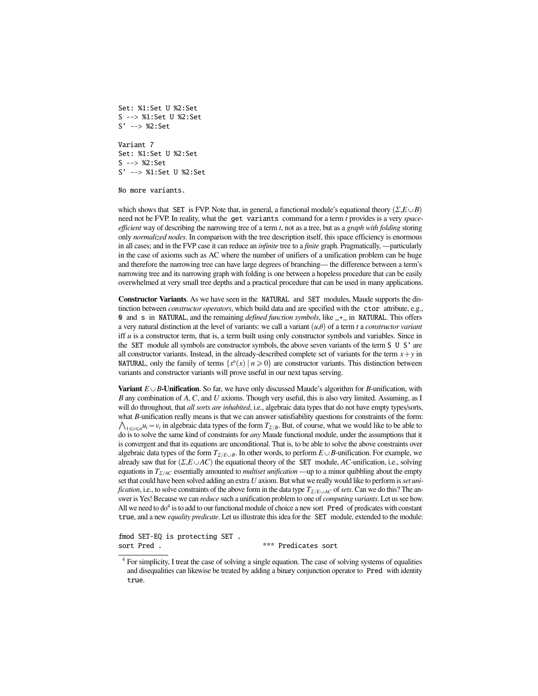Set: %1:Set U %2:Set S --> %1:Set U %2:Set S' --> %2:Set

Variant 7 Set: %1:Set U %2:Set S --> %2:Set S' --> %1:Set U %2:Set

No more variants.

which shows that SET is FVP. Note that, in general, a functional module's equational theory  $(\Sigma, E \cup B)$ need not be FVP. In reality, what the get variants command for a term *t* provides is a very *spaceefficient* way of describing the narrowing tree of a term *t*, not as a tree, but as a *graph with folding* storing only *normalized nodes*. In comparison with the tree description itself, this space efficiency is enormous in all cases; and in the FVP case it can reduce an *infinite* tree to a *finite* graph. Pragmatically, —particularly in the case of axioms such as AC where the number of unifiers of a unification problem can be huge and therefore the narrowing tree can have large degrees of branching— the difference between a term's narrowing tree and its narrowing graph with folding is one between a hopeless procedure that can be easily overwhelmed at very small tree depths and a practical procedure that can be used in many applications.

Constructor Variants. As we have seen in the NATURAL and SET modules, Maude supports the distinction between *constructor operators*, which build data and are specified with the ctor attribute, e.g., 0 and s in NATURAL, and the remaining *defined function symbols*, like \_+\_ in NATURAL. This offers a very natural distinction at the level of variants: we call a variant  $(u,\theta)$  of a term *t* a *constructor variant* iff *u* is a constructor term, that is, a term built using only constructor symbols and variables. Since in the SET module all symbols are constructor symbols, the above seven variants of the term S U S' are all constructor variants. Instead, in the already-described complete set of variants for the term  $x + y$  in **NATURAL**, only the family of terms  $\{s^n(x) | n \ge 0\}$  are constructor variants. This distinction between variants and constructor variants will prove useful in our next tapas serving.

**Variant**  $E \cup B$ -Unification. So far, we have only discussed Maude's algorithm for  $B$ -unification, with *B* any combination of *A*, *C*, and *U* axioms. Though very useful, this is also very limited. Assuming, as I will do throughout, that *all sorts are inhabited*, i.e., algebraic data types that do not have empty types/sorts, what *B*-unification really means is that we can answer satisfiability questions for constraints of the form:  $1 \le i \le n$  *u<sub>i</sub>*  $= v_i$  in algebraic data types of the form  $T_{\Sigma/B}$ . But, of course, what we would like to be able to it is to solve the computing that it do is to solve the same kind of constraints for *any* Maude functional module, under the assumptions that it is convergent and that its equations are unconditional. That is, to be able to solve the above constraints over algebraic data types of the form *<sup>T</sup>*Σ{*E*Y*<sup>B</sup>*. In other words, to perform *<sup>E</sup>*Y*B*-unification. For example, we already saw that for  $(\Sigma, E \cup AC)$  the equational theory of the SET module, *AC*-unification, i.e., solving equations in *<sup>T</sup>*Σ{*AC* essentially amounted to *multiset unification* —up to a minor quibbling about the empty set that could have been solved adding an extra *U* axiom. But what we really would like to perform is*set unification*, i.e., to solve constraints of the above form in the data type  $T_{\Sigma/E\cup AC}$  of *sets*. Can we do this? The answer is Yes! Because we can *reduce* such a unification problem to one of *computing variants*. Let us see how. All we need to  $d\sigma^4$  is to add to our functional module of choice a new sort Pred of predicates with constant true, and a new *equality predicate*. Let us illustrate this idea for the SET module, extended to the module:

fmod SET-EQ is protecting SET . sort Pred .  $***$  Predicates sort

<sup>4</sup> For simplicity, I treat the case of solving a single equation. The case of solving systems of equalities and disequalities can likewise be treated by adding a binary conjunction operator to Pred with identity true.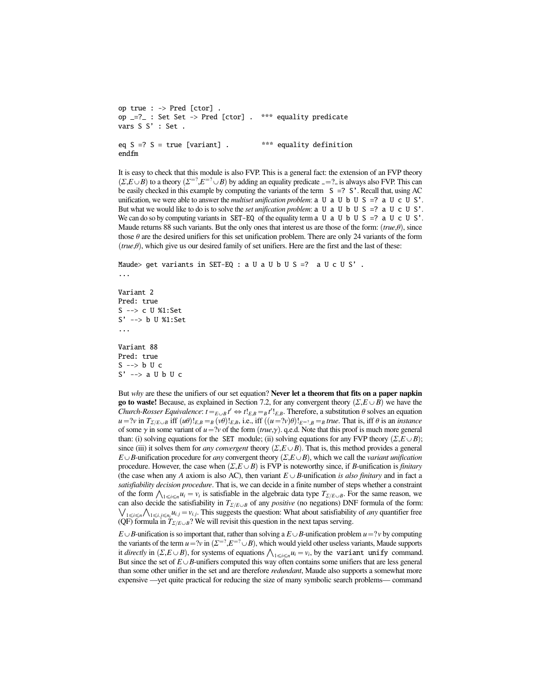```
op true : -> Pred [ctor] .
op _=?_ : Set Set -> Pred [ctor] . *** equality predicate
vars S S' : Set .
eq S = ? S = true [variant] . *** equality definition
endfm
```
It is easy to check that this module is also FVP. This is a general fact: the extension of an FVP theory  $(\Sigma, E \cup B)$  to a theory  $(\Sigma^{-2}, E^{-2} \cup B)$  by adding an equality predicate  $z = ?$  is always also FVP. This can be easily checked in this example by computing the variants of the term  $S = ? S'$ . Recall that using AC be easily checked in this example by computing the variants of the term  $S = ? S'$ . Recall that, using AC unification, we were able to answer the *multiset unification problem*:  $\alpha$  U  $\alpha$  U  $\beta$  =?  $\alpha$  U  $\alpha$  U  $\beta$ . But what we would like to do is to solve the *set unification problem*:  $\alpha$  U  $\alpha$  U  $\beta$  U  $\alpha$  U  $\alpha$  U  $\beta$ . We can do so by computing variants in SET-EQ of the equality term  $\alpha$  U  $\alpha$  U b U S =?  $\alpha$  U c U S'. Maude returns 88 such variants. But the only ones that interest us are those of the form:  $(true, \theta)$ , since those  $\theta$  are the desired unifiers for this set unification problem. There are only 24 variants of the form  $(true, \theta)$ , which give us our desired family of set unifiers. Here are the first and the last of these:

```
Maude \geq get variants in SET-EQ : a U a U b U S =? a U c U S'.
...
```

```
Variant 2
Pred: true
S --> c U %1:Set
S' --> b U %1:Set
...
Variant 88
Pred: true
S \leftarrow > b U c
S' \rightarrow \geq a \cup b \cup c
```
But *why* are these the unifiers of our set equation? Never let a theorem that fits on a paper napkin go to waste! Because, as explained in Section 7.2, for any convergent theory  $(\Sigma, E \cup B)$  we have the *Church-Rosser Equivalence:*  $t =_{E \cup B} t' \Leftrightarrow t!_{E,B} =_B t'!_{E,B}$ . Therefore, a substitution  $\theta$  solves an equation  $u = 2v$  in  $T_{E/E}$ , a iff  $(u\theta)_{E \cap B} = u(u\theta)_{E \cap B}$  is  $(u \theta)_{E \cap B} = u(u \theta)_{E \cap B}$  is an instance  $u = ?v$  in  $T_{\Sigma/E\cup B}$  iff  $(u\theta)!_{E,B} = g(v\theta)!_{E,B}$ , i.e., iff  $((u = ?v)\theta)!_{E=?B} = g$  true. That is, iff  $\theta$  is an *instance*<br>of some  $\gamma$  in some variant of  $u = ?v$  of the form *(true*  $\gamma$ *)*,  $\alpha \in A$ . Note that this proof is much of some  $\gamma$  in some variant of  $u = ?v$  of the form  $(true, \gamma)$ . q.e.d. Note that this proof is much more general than: (i) solving equations for the SET module; (ii) solving equations for any FVP theory  $(\Sigma, E \cup B)$ ; since (iii) it solves them for *any convergent* theory  $(\Sigma, E \cup B)$ . That is, this method provides a general  $E \cup B$ -unification procedure for *any* convergent theory  $(\Sigma, E \cup B)$ , which we call the *variant unification* procedure. However, the case when  $(\Sigma, E \cup B)$  is FVP is noteworthy since, if *B*-unification is *finitary* (the case when any *A* axiom is also AC), then variant  $E \cup B$ -unification *is also finitary* and in fact a *satisfiability decision procedure*. That is, we can decide in a finite number of steps whether a constraint *satisfiability decision procedure*. That is, we can decide in a finite number of steps whether a constraint of the form  $\bigwedge_{1 \le i \le n} u_i = v_i$  is satisfiable in the algebraic data type  $T_{\Sigma/E \cup B}$ . For the same reason, we can also decide the satisfiability in  $T_{\Sigma/E\cup B}$  of any *positive* (no negations) DNF formula of the form:  $\iota_{1\leq i\leq n}\Lambda_{1\leq i,j\leq n_i}u_{i,j} = v_{i,j}$ . This suggests the question: What about satisfiability of *any* quantifier free  $V$ **i** $\leq i \leq n$ *i*  $\leq h$ <sub>*i*</sub> $i,j$  *im*<sub>i</sub>*j*</sub> *im*<sub>i</sub><sub>*j*</sub> *im*<sub>i</sub><sub>*j*</sub>. This suggests the question in the next tapas serving. (QF) formula in  $T_{\Sigma/E \cup B}$ ? We will revisit this question in the next tapas serving.

 $E \cup B$ -unification is so important that, rather than solving a  $E \cup B$ -unification problem  $u = ?v$  by computing the variants of the term  $u = \gamma v$  in  $(\Sigma^{-2}, E^{-2} \cup B)$ , which would yield other useless variants, Maude supports it *directly* in  $(\Sigma E \cup B)$  for systems of equations  $\Delta u = v$ , by the variant unify command the variants of the term  $u = \nu v$  in  $(\Sigma^{\pm i}, E^{\pm i} \cup B)$ , which would yield other useless variants, Maude supports it *directly* in  $(\Sigma, E \cup B)$ , for systems of equations  $\bigwedge_{1 \leq i \leq n} u_i = \nu_i$ , by the **variant unify** comma But since the set of  $E \cup B$ -unifiers computed this way often contains some unifiers that are less general than some other unifier in the set and are therefore *redundant*, Maude also supports a somewhat more expensive —yet quite practical for reducing the size of many symbolic search problems— command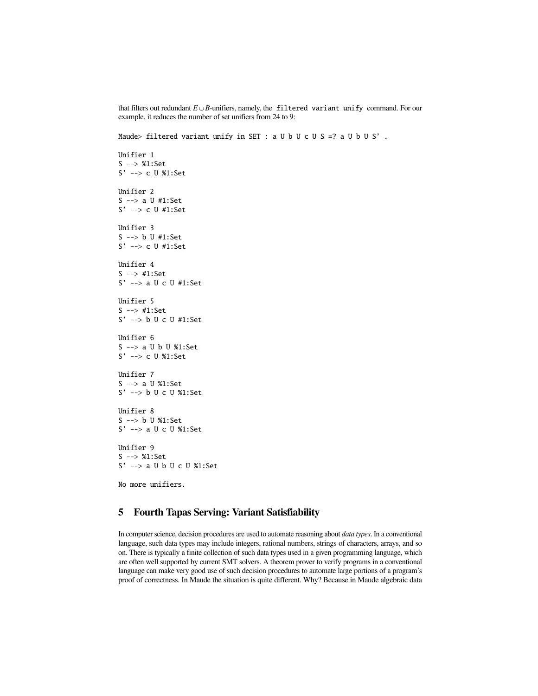that filters out redundant  $E \cup B$ -unifiers, namely, the filtered variant unify command. For our example, it reduces the number of set unifiers from 24 to 9:

Maude> filtered variant unify in SET : a U b U c U S =? a U b U S'.

```
Unifier 1
S --> %1:Set
S' --> c U %1:Set
Unifier 2
S --> a U #1:Set
S' --> c U #1:Set
Unifier 3
S --> b U #1:Set
S' --> c U #1:Set
Unifier 4
S --> #1:Set
S' --> a U c U #1:Set
Unifier 5
S --> #1:Set
S' --> b U c U #1:Set
Unifier 6
S --> a U b U %1:Set
S' --> c U %1:Set
Unifier 7
S --> a U %1:Set
S' --> b U c U %1:Set
Unifier 8
S --> b U %1:Set
S' --> a U c U %1:Set
Unifier 9
S --> %1:Set
S' --> a U b U c U %1:Set
No more unifiers.
```
## 5 Fourth Tapas Serving: Variant Satisfiability

In computer science, decision procedures are used to automate reasoning about *data types*. In a conventional language, such data types may include integers, rational numbers, strings of characters, arrays, and so on. There is typically a finite collection of such data types used in a given programming language, which are often well supported by current SMT solvers. A theorem prover to verify programs in a conventional language can make very good use of such decision procedures to automate large portions of a program's proof of correctness. In Maude the situation is quite different. Why? Because in Maude algebraic data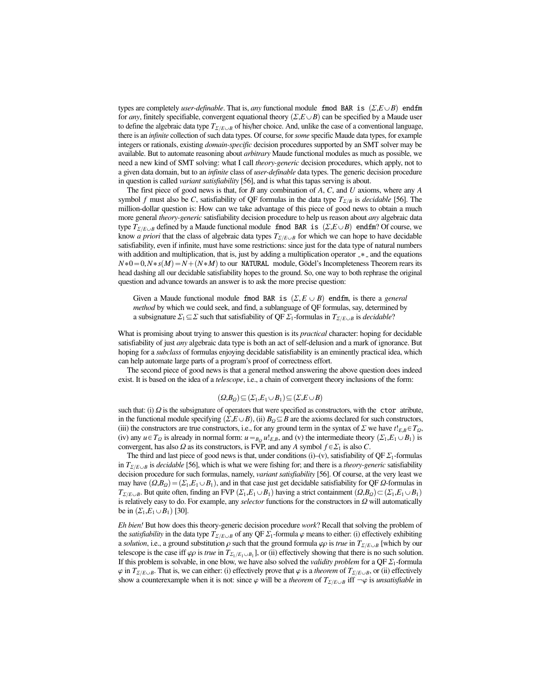types are completely *user-definable*. That is, *any* functional module fmod BAR is  $(\Sigma, E \cup B)$  endfm for *any*, finitely specifiable, convergent equational theory  $(\Sigma, E \cup B)$  can be specified by a Maude user to define the algebraic data type  $T_{\Sigma/E\cup B}$  of his/her choice. And, unlike the case of a conventional language, there is an *infinite* collection of such data types. Of course, for *some* specific Maude data types, for example integers or rationals, existing *domain-specific* decision procedures supported by an SMT solver may be available. But to automate reasoning about *arbitrary* Maude functional modules as much as possible, we need a new kind of SMT solving: what I call *theory-generic* decision procedures, which apply, not to a given data domain, but to an *infinite* class of *user-definable* data types. The generic decision procedure in question is called *variant satisfiability* [56], and is what this tapas serving is about.

The first piece of good news is that, for *B* any combination of *A*, *C*, and *U* axioms, where any *A* symbol *f* must also be *C*, satisfiability of QF formulas in the data type  $T_{\Sigma/B}$  is *decidable* [56]. The million-dollar question is: How can we take advantage of this piece of good news to obtain a much more general *theory-generic* satisfiability decision procedure to help us reason about *any* algebraic data type  $T_{\Sigma/E\cup B}$  defined by a Maude functional module fmod BAR is  $(\Sigma,E\cup B)$  endfm? Of course, we know *a priori* that the class of algebraic data types  $T_{\Sigma/E\cup B}$  for which we can hope to have decidable satisfiability, even if infinite, must have some restrictions: since just for the data type of natural numbers with addition and multiplication, that is, just by adding a multiplication operator  $-*$  and the equations  $N*0 = 0, N*s(M) = N + (N*M)$  to our NATURAL module, Gödel's Incompleteness Theorem rears its head dashing all our decidable satisfiability hopes to the ground. So, one way to both rephrase the original question and advance towards an answer is to ask the more precise question:

Given a Maude functional module fmod BAR is  $(\Sigma, E \cup B)$  endfm, is there a *general method* by which we could seek, and find, a sublanguage of QF formulas, say, determined by a subsignature  $\Sigma_1 \subseteq \Sigma$  such that satisfiability of QF  $\Sigma_1$ -formulas in  $T_{\Sigma/E\cup B}$  is *decidable*?

What is promising about trying to answer this question is its *practical* character: hoping for decidable satisfiability of just *any* algebraic data type is both an act of self-delusion and a mark of ignorance. But hoping for a *subclass* of formulas enjoying decidable satisfiability is an eminently practical idea, which can help automate large parts of a program's proof of correctness effort.

The second piece of good news is that a general method answering the above question does indeed exist. It is based on the idea of a *telescope*, i.e., a chain of convergent theory inclusions of the form:

$$
(\Omega,B_{\Omega}) \subseteq (\Sigma_1,E_1 \cup B_1) \subseteq (\Sigma,E \cup B)
$$

such that: (i)  $\Omega$  is the subsignature of operators that were specified as constructors, with the **ctor** atribute, in the functional module specifying  $(\Sigma E \cup B)$  (ii)  $B_2 \subset B$  are the axioms declared for such constructors in the functional module specifying  $(\Sigma, E \cup B)$ , (ii)  $B_{\Omega} \subseteq B$  are the axioms declared for such constructors, (iii) the constructors are true constructors, i.e., for any ground term in the syntax of  $\Sigma$  we have  $t!_{E,B} \in T_{\Omega}$ , (iv) any  $u \in T_Q$  is already in normal form:  $u =_{B_Q} u!_{E,B}$ , and (v) the intermediate theory  $(\Sigma_1, E_1 \cup B_1)$  is convergent has also *Q* as its constructors is FVP and any *A* symbol  $f \in \Sigma$ , is also *C* convergent, has also  $\Omega$  as its constructors, is FVP, and any  $A$  symbol  $f \in \Sigma_1$  is also  $C$ .

The third and last piece of good news is that, under conditions (i)–(v), satisfiability of QF  $\Sigma_1$ -formulas in  $T_{\Sigma/E\cup B}$  is *decidable* [56], which is what we were fishing for; and there is a *theory-generic* satisfiability decision procedure for such formulas, namely, *variant satisfiability* [56]. Of course, at the very least we may have  $(Q, B_Q) = (\Sigma_1, E_1 \cup B_1)$ , and in that case just get decidable satisfiability for QF  $\Omega$ -formulas in *T*<sub>Σ/*E* $\cup$ *B*</sub>. But quite often, finding an FVP  $(\Sigma_1, E_1 \cup B_1)$  having a strict containment  $(\Omega, B_0) \subset (\Sigma_1, E_1 \cup B_1)$ is relatively easy to do. For example, any *selector* functions for the constructors in Ω will automatically be in  $(\Sigma_1, E_1 \cup B_1)$  [30].

*Eh bien!* But how does this theory-generic decision procedure *work*? Recall that solving the problem of the *satisfiability* in the data type  $T_{\Sigma/E\cup B}$  of any QF  $\Sigma_1$ -formula  $\varphi$  means to either: (i) effectively exhibiting a *solution*, i.e., a ground substitution  $\rho$  such that the ground formula  $\varphi \rho$  is *true* in  $T_{\Sigma/E\cup B}$  [which by our telescope is the case iff  $\varphi \rho$  is *true* in  $T_{\Sigma_1/E_1 \cup B_1}$ , or (ii) effectively showing that there is no such solution.<br>If this problem is solvable in one blow we have also solved the *validity problem* for a OE  $\Sigma$ If this problem is solvable, in one blow, we have also solved the *validity problem* for a  $QF \Sigma_1$ -formula  $\varphi$  in  $T_{\Sigma/E\cup B}$ . That is, we can either: (i) effectively prove that  $\varphi$  is a *theorem* of  $T_{\Sigma/E\cup B}$ , or (ii) effectively show a counterexample when it is not: since  $\varphi$  will be a *theorem* of  $T_{\Sigma/E\cup B}$  iff  $-\varphi$  is *unsatisfiable* in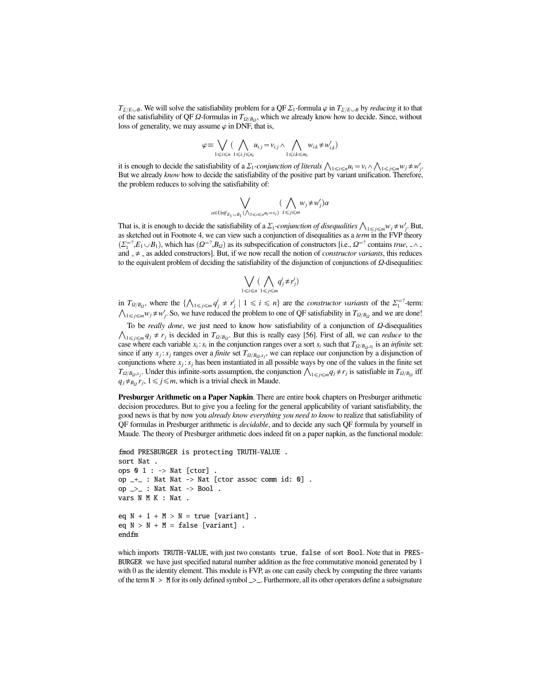*T*<sub>Σ/*E*∪*B*</sub>. We will solve the satisfiability problem for a QF  $\Sigma_1$ -formula  $\varphi$  in *T*<sub>Σ/*E*∪*B*</sub> by *reducing* it to that of the satisfiability of QF  $\Omega$ -formulas in  $T_{\Omega/\beta_{\Omega}}$ , which we already know how to decide. Since, without loss of generality we may assume  $\omega$  in DNF that is loss of generality, we may assume  $\varphi$  in DNF, that is,

$$
\varphi \equiv \bigvee_{1 \leq i \leq n} \big(\bigwedge_{1 \leq i,j \leq n_i} u_{i,j} = v_{i,j} \wedge \bigwedge_{1 \leq i,k \leq m_i} w_{i,k} \neq w'_{i,k}\big)
$$

it is enough to decide the satisfiability of a  $\Sigma_1$ -*conjunction of literals*  $\bigwedge_{1 \le i \le n} u_i = v_i \wedge$ <br>But we already *know* how to decide the satisfiability of the positive part by variant unific  $\bigwedge_{1\leq j\leq m}w_j\neq w'_j.$ But we already *know* how to decide the satisfiability of the positive part by variant unification. Therefore, the problem reduces to solving the satisfiability of:

$$
\bigvee_{\alpha \in \text{Unif}_{E_1 \cup B_1} (\bigwedge_{1 \le i \le n} u_i = v_i)} (\bigwedge_{1 \le j \le m} w_j \neq w'_j)\alpha
$$

That is, it is enough to decide the satisfiability of a  $\Sigma_1$ -*conjunction of disequalities*  $\bigwedge_{1 \le j \le m} w_j \neq w'_j$ . But, as sketched out in Footnote 4, we can view such a conjunction of disequalities as a *term* in the as sketched out in Footnote 4, we can view such a conjunction of disequalities as a *term* in the FVP theory  $(\Sigma_1^{=2}, E_1 \cup B_1)$ , which has  $(Q^{=2}, B_Q)$  as its subspecification of constructors [i.e.,  $\Omega^{=2}$  contains *true*,  $\wedge$  and  $\neq$  as added constructors]. But if we now recall the notion of *constructor variants* this red and  $=$   $\neq$   $=$  as added constructors]. But, if we now recall the notion of *constructor variants*, this reduces to the equivalent problem of deciding the satisfiability of the disjunction of conjunctions of  $\Omega$ -disequalities:

$$
\bigvee_{1\leq i\leq n}(\bigwedge_{1\leq j\leq m}q_j^i\neq r_j^i)
$$

in  $T_{\Omega/B_Q}$ , where the { in  $T_{\Omega/B_Q}$ , where the  $\{\bigwedge_{1\leqslant j\leqslant m}q^j_j\neq r^j_j\mid 1\leqslant i\leqslant n\}$  are the *constructor variants* of the  $\Sigma_1^{-2}$ -term:  $1 \le j \le m$ <sup>*w*</sup>*j* ≠ *w*<sup>*i*</sup>, So, we have reduced the problem to one of QF satisfiability in *T*<sub>Ω/*B*<sub>Ω</sub></sub> and we are done!

To be *really done*, we just need to know how satisfiability of a conjunction of Ω-disequalities  $\frac{1}{\leq j \leq m} q_j \neq r_j$  is decided in  $T_{\Omega/B_Q}$ . But this is really easy [56]. First of all, we can *reduce* to the case where each variable  $x_i : s_i$  in the conjunction ranges over a sort  $s_i$  such that  $T_{\Omega/B_0,s_i}$  is an *infinite* set:<br>cince if any  $x_i : s_i$  ranges over a finite set  $T$ . since if any  $x_j$ :  $s_j$  ranges over a *finite* set  $T_{\Omega/B_0,s_j}$ , we can replace our conjunction by a disjunction of conjunctions when  $x_i$  is here been instantiated in all possible wave by one of the values in the finite conjunctions where  $x_j$ :  $s_j$  has been instantiated in all possible ways by one of the values in the finite set conjunctions where  $x_j$ :  $s_j$  has been instantiated in all possible ways by one of the values in the finite set  $T_{\Omega/B_Q}$ ,  $T_{\Omega/B_Q}$  iff  $T_{\Omega/B_Q}$  iff  $\Omega$  is a strivial shock in Mayda  $q_j \neq_{B_Q} r_j$ ,  $1 \leq j \leq m$ , which is a trivial check in Maude.

Presburger Arithmetic on a Paper Napkin. There are entire book chapters on Presburger arithmetic decision procedures. But to give you a feeling for the general applicability of variant satisfiability, the good news is that by now you *already know everything you need to know* to realize that satisfiability of QF formulas in Presburger arithmetic is *decidable*, and to decide any such QF formula by yourself in Maude. The theory of Presburger arithmetic does indeed fit on a paper napkin, as the functional module:

```
fmod PRESBURGER is protecting TRUTH-VALUE .
sort Nat .
ops 0 \t1 : -\gt Nat [ctor].
op -+- : Nat Nat -> Nat [ctor assoc comm id: 0].
op \geq : Nat Nat \rightarrow Bool.
vars N M K : Nat .
eq N + 1 + M > N = true [variant].
eq N > N + M = false [variant].
endfm
```
which imports TRUTH-VALUE, with just two constants true, false of sort Bool. Note that in PRES-BURGER we have just specified natural number addition as the free commutative monoid generated by 1 with 0 as the identity element. This module is FVP, as one can easily check by computing the three variants of the term  $N > M$  for its only defined symbol  $\geq$ . Furthermore, all its other operators define a subsignature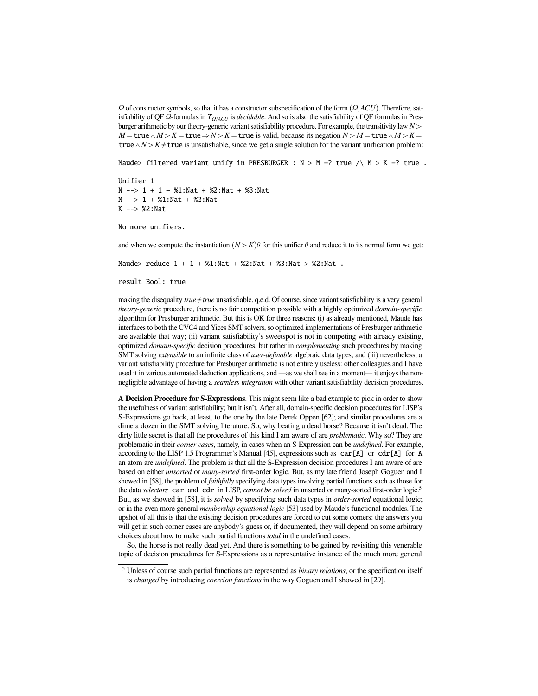$Ω$  of constructor symbols, so that it has a constructor subspecification of the form  $(Ω, ACU)$ . Therefore, satisfiability of QF  $\Omega$ -formulas in  $T_{\Omega/ACU}$  is *decidable*. And so is also the satisfiability of QF formulas in Presburger arithmetic by our theory-generic variant satisfiability procedure. For example, the transitivity law *N*ą  $M = \text{true} \land M > K = \text{true} \Rightarrow N > K = \text{true}$  is valid, because its negation  $N > M = \text{true} \land M > K =$ true  $\land N > K \neq$  true is unsatisfiable, since we get a single solution for the variant unification problem:

Maude> filtered variant unify in PRESBURGER :  $N > M = ?$  true /\  $M > K = ?$  true.

Unifier 1  $N \rightarrow > 1 + 1 + %1$ : Nat + %2: Nat + %3: Nat  $M \leftarrow > 1 + %1$ : Nat + %2: Nat K --> %2:Nat

No more unifiers.

and when we compute the instantiation  $(N > K)\theta$  for this unifier  $\theta$  and reduce it to its normal form we get:

Maude> reduce  $1 + 1 + %1$ : Nat + %2: Nat + %3: Nat > %2: Nat .

result Bool: true

making the disequality  $true \ne true$  unsatisfiable. q.e.d. Of course, since variant satisfiability is a very general *theory-generic* procedure, there is no fair competition possible with a highly optimized *domain-specific* algorithm for Presburger arithmetic. But this is OK for three reasons: (i) as already mentioned, Maude has interfaces to both the CVC4 and Yices SMT solvers, so optimized implementations of Presburger arithmetic are available that way; (ii) variant satisfiability's sweetspot is not in competing with already existing, optimized *domain-specific* decision procedures, but rather in *complementing* such procedures by making SMT solving *extensible* to an infinite class of *user-definable* algebraic data types; and (iii) nevertheless, a variant satisfiability procedure for Presburger arithmetic is not entirely useless: other colleagues and I have used it in various automated deduction applications, and —as we shall see in a moment— it enjoys the nonnegligible advantage of having a *seamless integration* with other variant satisfiability decision procedures.

A Decision Procedure for S-Expressions. This might seem like a bad example to pick in order to show the usefulness of variant satisfiability; but it isn't. After all, domain-specific decision procedures for LISP's S-Expressions go back, at least, to the one by the late Derek Oppen [62]; and similar procedures are a dime a dozen in the SMT solving literature. So, why beating a dead horse? Because it isn't dead. The dirty little secret is that all the procedures of this kind I am aware of are *problematic*. Why so? They are problematic in their *corner cases*, namely, in cases when an S-Expression can be *undefined*. For example, according to the LISP 1.5 Programmer's Manual [45], expressions such as car[A] or cdr[A] for A an atom are *undefined*. The problem is that all the S-Expression decision procedures I am aware of are based on either *unsorted* or *many-sorted* first-order logic. But, as my late friend Joseph Goguen and I showed in [58], the problem of *faithfully* specifying data types involving partial functions such as those for the data *selectors* car and cdr in LISP, *cannot be solved* in unsorted or many-sorted first-order logic.<sup>5</sup> But, as we showed in [58], it is *solved* by specifying such data types in *order-sorted* equational logic; or in the even more general *membership equational logic* [53] used by Maude's functional modules. The upshot of all this is that the existing decision procedures are forced to cut some corners: the answers you will get in such corner cases are anybody's guess or, if documented, they will depend on some arbitrary choices about how to make such partial functions *total* in the undefined cases.

So, the horse is not really dead yet. And there is something to be gained by revisiting this venerable topic of decision procedures for S-Expressions as a representative instance of the much more general

<sup>5</sup> Unless of course such partial functions are represented as *binary relations*, or the specification itself is *changed* by introducing *coercion functions* in the way Goguen and I showed in [29].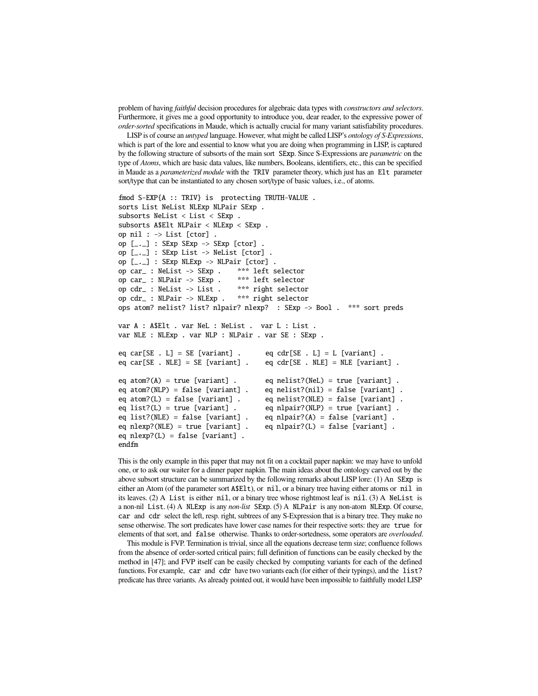problem of having *faithful* decision procedures for algebraic data types with *constructors and selectors*. Furthermore, it gives me a good opportunity to introduce you, dear reader, to the expressive power of *order-sorted* specifications in Maude, which is actually crucial for many variant satisfiability procedures.

LISP is of course an *untyped* language. However, what might be called LISP's *ontology of S-Expressions*, which is part of the lore and essential to know what you are doing when programming in LISP, is captured by the following structure of subsorts of the main sort SExp. Since S-Expressions are *parametric* on the type of *Atoms*, which are basic data values, like numbers, Booleans, identifiers, etc., this can be specified in Maude as a *parameterized module* with the TRIV parameter theory, which just has an Elt parameter sort/type that can be instantiated to any chosen sort/type of basic values, i.e., of atoms.

```
fmod S-EXP{A :: TRIV} is protecting TRUTH-VALUE .
sorts List NeList NLExp NLPair SExp .
subsorts NeList < List < SExp .
subsorts A$Elt NLPair < NLExp < SExp .
op nil : \rightarrow List [ctor].
op [-,-] : SExp SExp \rightarrow SExp [ctor] .
op [-,-] : SExp List \rightarrow NeList [ctor] .
op [_._] : SExp NLExp -> NLPair [ctor] .
op car_ : NeList -> SExp . *** left selector
op car_ : NLPair -> SExp . *** left selector<br>op cdr_ : NeList -> List . *** right selector
op cdr_ : NeList -> List . *** right selector<br>op cdr_ : NLPair -> NLExp . *** right selector
op cdr_+: NLPair \rightarrow NLExp .ops atom? nelist? list? nlpair? nlexp? : SExp -> Bool . *** sort preds
var A : A$Elt . var NeL : NeList . var L : List .
var NLE : NLExp . var NLP : NLPair . var SE : SExp .
eq car[SE . L] = SE [variant] . eq cdr[SE . L] = L [variant] .<br>eq car[SE . NLE] = SE [variant] . eq cdr[SE . NLE] = NLE [varian
                                          eq cdr[SE . NLE] = NLE [variant] .
eq atom?(A) = true [variant] . eq nelist?(NeL) = true [variant] .
eq atom?(NLP) = false [variant] . eq nelist?(nil) = false [variant] .
eq atom?(L) = false [variant] . eq nelist?(NLE) = false [variant] .
eq list?(L) = true [variant] . eq nlpair?(NLP) = true [variant] .
eq list?(NLE) = false [variant] . eq nlpair?(A) = false [variant] .
eq nlexp?(NLE) = true [variant] . eq nlpair?(L) = false [variant] .
eq nlexp?(L) = false [variant] .
endfm
```
This is the only example in this paper that may not fit on a cocktail paper napkin: we may have to unfold one, or to ask our waiter for a dinner paper napkin. The main ideas about the ontology carved out by the above subsort structure can be summarized by the following remarks about LISP lore: (1) An SExp is either an Atom (of the parameter sort A\$Elt), or nil, or a binary tree having either atoms or nil in its leaves. (2) A List is either nil, or a binary tree whose rightmost leaf is nil. (3) A NeList is a non-nil List. (4) A NLExp is any *non-list* SExp. (5) A NLPair is any non-atom NLExp. Of course, car and cdr select the left, resp. right, subtrees of any S-Expression that is a binary tree. They make no sense otherwise. The sort predicates have lower case names for their respective sorts: they are true for elements of that sort, and false otherwise. Thanks to order-sortedness, some operators are *overloaded*.

This module is FVP. Termination is trivial, since all the equations decrease term size; confluence follows from the absence of order-sorted critical pairs; full definition of functions can be easily checked by the method in [47]; and FVP itself can be easily checked by computing variants for each of the defined functions. For example, car and cdr have two variants each (for either of their typings), and the list? predicate has three variants. As already pointed out, it would have been impossible to faithfully model LISP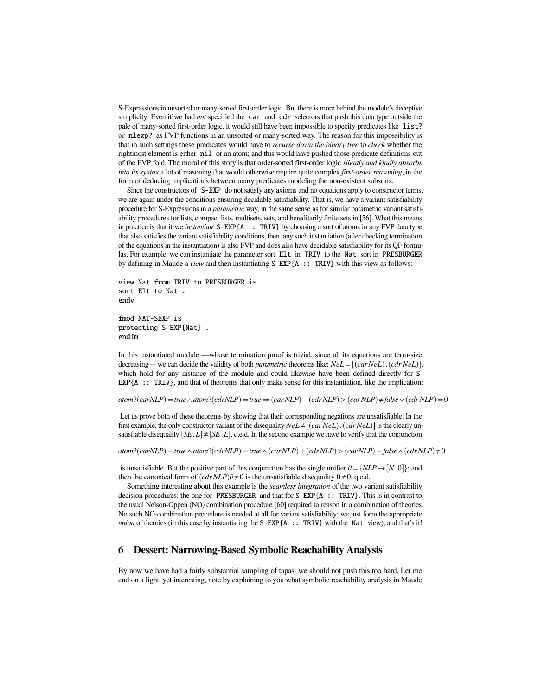S-Expressions in unsorted or many-sorted first-order logic. But there is more behind the module's deceptive simplicity: Even if we had *not* specified the car and cdr selectors that push this data type outside the pale of many-sorted first-order logic, it would still have been impossible to specify predicates like list? or nlexp? as FVP functions in an unsorted or many-sorted way. The reason for this impossibility is that in such settings these predicates would have to *recurse down the binary tree* to *check* whether the rightmost element is either nil or an atom; and this would have pushed those predicate definitions out of the FVP fold. The moral of this story is that order-sorted first-order logic *silently and kindly absorbs into its syntax* a lot of reasoning that would otherwise require quite complex *first-order reasoning*, in the form of deducing implications between unary predicates modeling the non-existent subsorts.

Since the constructors of S-EXP do not satisfy any axioms and no equations apply to constructor terms, we are again under the conditions ensuring decidable satisfiability. That is, we have a variant satisfiability procedure for S-Expressions in a *parametric* way, in the same sense as for similar parametric variant satisfiability procedures for lists, compact lists, multisets, sets, and hereditarily finite sets in [56]. What this means in practice is that if we *instantiate*  $S-EXP{A :: TRIV}$  by choosing a sort of atoms in any FVP data type that also satisfies the variant satisfiability conditions, then, any such instantiation (after checking termination of the equations in the instantiation) is also FVP and does also have decidable satisfiability for its QF formulas. For example, we can instantiate the parameter sort Elt in TRIV to the Nat sort in PRESBURGER by defining in Maude a *view* and then instantiating S-EXP{A :: TRIV} with this view as follows:

view Nat from TRIV to PRESBURGER is sort Elt to Nat endv

fmod NAT-SEXP is protecting S-EXP{Nat} . endfm

In this instantiated module —whose termination proof is trivial, since all its equations are term-size decreasing— we can decide the validity of both *parametric* theorems like:  $NeL = [(carNetL) \cdot (cdrNetS)]$ , which hold for any instance of the module and could likewise have been defined directly for S-EXP{A :: TRIV}, and that of theorems that only make sense for this instantiation, like the implication:

 $atom$ ? $(carNLP)$  =  $true \wedge atom$ ? $(cdrNLP)$  =  $true \Rightarrow (carNLP) + (cdrNLP)$   $>$   $(carNLP) \neq false \vee (cdrNLP)$  = 0

Let us prove both of these theorems by showing that their corresponding negations are unsatisfiable. In the first example, the only constructor variant of the disequality  $NeL \neq [(carNet). (cdrNet)]$  is the clearly unsatisfiable disequality  $[SE, L] \neq [SE, L]$ . q.e.d. In the second example we have to verify that the conjunction

 $atom$ ? $(carNLP)$  =  $true \wedge atom$ ? $(cdrNLP)$  =  $true \wedge (carNLP)$  +  $(cdrNLP)$  >  $(carNLP)$  =  $false \wedge (cdrNLP)$   $\neq 0$ 

is unsatisfiable. But the positive part of this conjunction has the single unifier  $\theta = \{NLP \rightarrow [N, 0]\}\;$ ; and then the canonical form of  $(cdrNLP)\theta \neq 0$  is the unsatisfiable disequality 0 $\neq$ 0. q.e.d.

Something interesting about this example is the *seamless integration* of the two variant satisfiability decision procedures: the one for PRESBURGER and that for  $S-EXP{A : : TRIV}.$  This is in contrast to the usual Nelson-Oppen (NO) combination procedure [60] required to reason in a combination of theories. No such NO-combination procedure is needed at all for variant satisfiability: we just form the appropriate *union* of theories (in this case by instantiating the S-EXP{A :: TRIV} with the Nat view), and that's it!

### 6 Dessert: Narrowing-Based Symbolic Reachability Analysis

By now we have had a fairly substantial sampling of tapas: we should not push this too hard. Let me end on a light, yet interesting, note by explaining to you what symbolic reachability analysis in Maude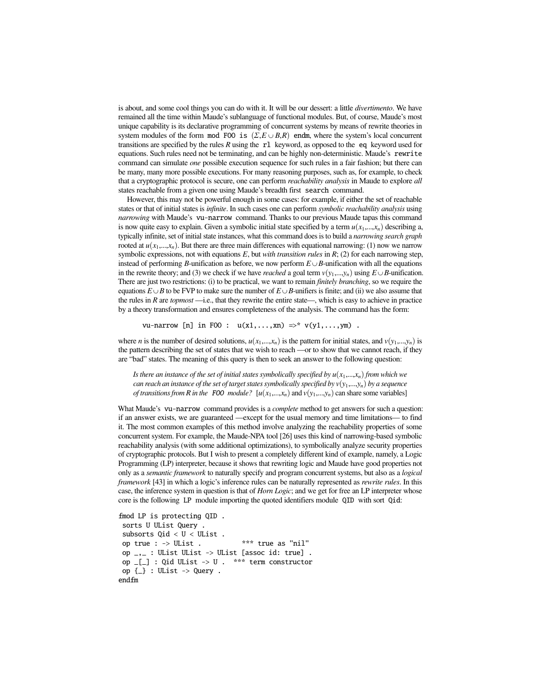is about, and some cool things you can do with it. It will be our dessert: a little *divertimento*. We have remained all the time within Maude's sublanguage of functional modules. But, of course, Maude's most unique capability is its declarative programming of concurrent systems by means of rewrite theories in system modules of the form mod FOO is  $(\Sigma, E \cup B, R)$  endm, where the system's local concurrent transitions are specified by the rules *R* using the rl keyword, as opposed to the eq keyword used for equations. Such rules need not be terminating, and can be highly non-deterministic. Maude's rewrite command can simulate *one* possible execution sequence for such rules in a fair fashion; but there can be many, many more possible executions. For many reasoning purposes, such as, for example, to check that a cryptographic protocol is secure, one can perform *reachability analysis* in Maude to explore *all* states reachable from a given one using Maude's breadth first search command.

However, this may not be powerful enough in some cases: for example, if either the set of reachable states or that of initial states is *infinite*. In such cases one can perform *symbolic reachability analysis* using *narrowing* with Maude's vu-narrow command. Thanks to our previous Maude tapas this command is now quite easy to explain. Given a symbolic initial state specified by a term  $u(x_1,...,x_n)$  describing a, typically infinite, set of initial state instances, what this command does is to build a *narrowing search graph* rooted at  $u(x_1,...,x_n)$ . But there are three main differences with equational narrowing: (1) now we narrow symbolic expressions, not with equations *E*, but *with transition rules* in *R*; (2) for each narrowing step, instead of performing *B*-unification as before, we now perform  $E \cup B$ -unification with all the equations in the rewrite theory; and (3) we check if we have *reached* a goal term  $v(y_1,...,y_n)$  using  $E \cup B$ -unification. There are just two restrictions: (i) to be practical, we want to remain *finitely branching*, so we require the equations  $E \cup B$  to be FVP to make sure the number of  $E \cup B$ -unifiers is finite; and (ii) we also assume that the rules in *R* are *topmost* —i.e., that they rewrite the entire state—, which is easy to achieve in practice by a theory transformation and ensures completeness of the analysis. The command has the form:

vu-narrow [n] in F00 :  $u(x1,...,xn)$  =>\*  $v(y1,...,ym)$ .

where *n* is the number of desired solutions,  $u(x_1,...,x_n)$  is the pattern for initial states, and  $v(y_1,...,y_n)$  is the pattern describing the set of states that we wish to reach —or to show that we cannot reach, if they are "bad" states. The meaning of this query is then to seek an answer to the following question:

*Is there an instance of the set of initial states symbolically specified by*  $u(x_1,...,x_n)$  *from which we can reach an instance of the set of target states symbolically specified by*  $v(y_1,...,y_n)$  *by a sequence of transitions from R in the* FOO *module?*  $[u(x_1,...,x_n)]$  and  $v(y_1,...,y_n)$  can share some variables]

What Maude's vu-narrow command provides is a *complete* method to get answers for such a question: if an answer exists, we are guaranteed —except for the usual memory and time limitations— to find it. The most common examples of this method involve analyzing the reachability properties of some concurrent system. For example, the Maude-NPA tool [26] uses this kind of narrowing-based symbolic reachability analysis (with some additional optimizations), to symbolically analyze security properties of cryptographic protocols. But I wish to present a completely different kind of example, namely, a Logic Programming (LP) interpreter, because it shows that rewriting logic and Maude have good properties not only as a *semantic framework* to naturally specify and program concurrent systems, but also as a *logical framework* [43] in which a logic's inference rules can be naturally represented as *rewrite rules*. In this case, the inference system in question is that of *Horn Logic*; and we get for free an LP interpreter whose core is the following LP module importing the quoted identifiers module QID with sort Qid:

```
fmod LP is protecting QID .
 sorts U UList Query .
 subsorts Qid < U < UList .
 op true : -> UList . *** true as "nil"
 op _{-1} : UList UList -> UList [assoc id: true].
 op _[_] : Qid UList -> U . *** term constructor
 op \{\_ \} : UList \rightarrow Query .
endfm
```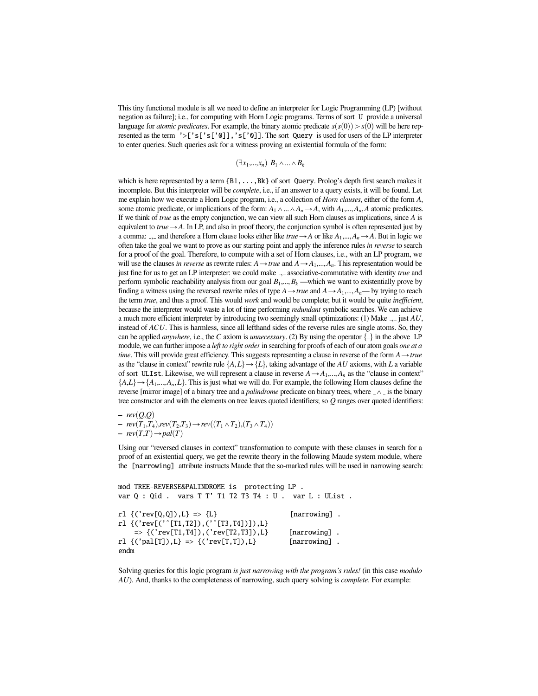This tiny functional module is all we need to define an interpreter for Logic Programming (LP) [without negation as failure]; i.e., for computing with Horn Logic programs. Terms of sort U provide a universal language for *atomic predicates*. For example, the binary atomic predicate  $s(s(0)) > s(0)$  will be here represented as the term '>['s['s['0]],'s['0]]. The sort Query is used for users of the LP interpreter to enter queries. Such queries ask for a witness proving an existential formula of the form:

$$
(\exists x_1,...,x_n) \; B_1 \wedge ... \wedge B_k
$$

which is here represented by a term  ${B1, \ldots, Bk}$  of sort Query. Prolog's depth first search makes it incomplete. But this interpreter will be *complete*, i.e., if an answer to a query exists, it will be found. Let me explain how we execute a Horn Logic program, i.e., a collection of *Horn clauses*, either of the form *A*, some atomic predicate, or implications of the form:  $A_1 \wedge ... \wedge A_n \rightarrow A$ , with  $A_1,...,A_n$ , A atomic predicates. If we think of *true* as the empty conjunction, we can view all such Horn clauses as implications, since *A* is equivalent to  $true \rightarrow A$ . In LP, and also in proof theory, the conjunction symbol is often represented just by a comma:  $\Box$ , and therefore a Horn clause looks either like *true*  $\rightarrow$  *A* or like  $A_1, \ldots, A_n \rightarrow A$ . But in logic we often take the goal we want to prove as our starting point and apply the inference rules *in reverse* to search for a proof of the goal. Therefore, to compute with a set of Horn clauses, i.e., with an LP program, we will use the clauses *in reverse* as rewrite rules:  $A \rightarrow true$  and  $A \rightarrow A_1, ..., A_n$ . This representation would be just fine for us to get an LP interpreter: we could make <sub>-1</sub>-associative-commutative with identity *true* and perform symbolic reachability analysis from our goal  $B_1, \ldots, B_k$  —which we want to existentially prove by finding a witness using the reversed rewrite rules of type  $A \rightarrow true$  and  $A \rightarrow A_1, ..., A_n$ — by trying to reach the term *true*, and thus a proof. This would *work* and would be complete; but it would be quite *inefficient*, because the interpreter would waste a lot of time performing *redundant* symbolic searches. We can achieve a much more efficient interpreter by introducing two seemingly small optimizations: (1) Make \_,\_ just *AU*, instead of *ACU*. This is harmless, since all lefthand sides of the reverse rules are single atoms. So, they can be applied *anywhere*, i.e., the *C* axiom is *unnecessary*. (2) By using the operator  $\{\frac{1}{x}\}$  in the above LP module, we can further impose a *left to right order* in searching for proofs of each of our atom goals *one at a time*. This will provide great efficiency. This suggests representing a clause in reverse of the form  $A \rightarrow true$ as the "clause in context" rewrite rule  $\{A, L\} \rightarrow \{L\}$ , taking advantage of the *AU* axioms, with *L* a variable of sort ULIst. Likewise, we will represent a clause in reverse  $A \rightarrow A_1, \dots, A_n$  as the "clause in context"  $\{A,L\} \rightarrow \{A_1,...,A_n,L\}$ . This is just what we will do. For example, the following Horn clauses define the reverse [mirror image] of a binary tree and a *palindrome* predicate on binary trees, where  $\angle \wedge \angle$  is the binary tree constructor and with the elements on tree leaves quoted identifiers; so *Q* ranges over quoted identifiers:

 $-$  *rev* $(Q,Q)$ *− rev*( $T_1, T_4$ )*,rev*( $T_2, T_3$ ) → *rev*(( $T_1$  ∧  $T_2$ )*,*( $T_3$  ∧  $T_4$ ))  $-$  *rev* $(T,T) \rightarrow pal(T)$ 

Using our "reversed clauses in context" transformation to compute with these clauses in search for a proof of an existential query, we get the rewrite theory in the following Maude system module, where the [narrowing] attribute instructs Maude that the so-marked rules will be used in narrowing search:

```
mod TREE-REVERSE&PALINDROME is protecting LP .
var Q : Qid . vars T T' T1 T2 T3 T4 : U . var L : UList .
rl \{('rev[Q,Q]), L\} \Rightarrow \{L\} [narrowing].
rl {('rev[('ˆ[T1,T2]),('ˆ[T3,T4])]),L}
    \Rightarrow {('rev[T1,T4]),('rev[T2,T3]),L} [narrowing].
rl \{('pal[T]), L\} \Rightarrow \{('rev[T,T]), L\} [narrowing].
endm
```
Solving queries for this logic program *is just narrowing with the program's rules!* (in this case *modulo AU*). And, thanks to the completeness of narrowing, such query solving is *complete*. For example: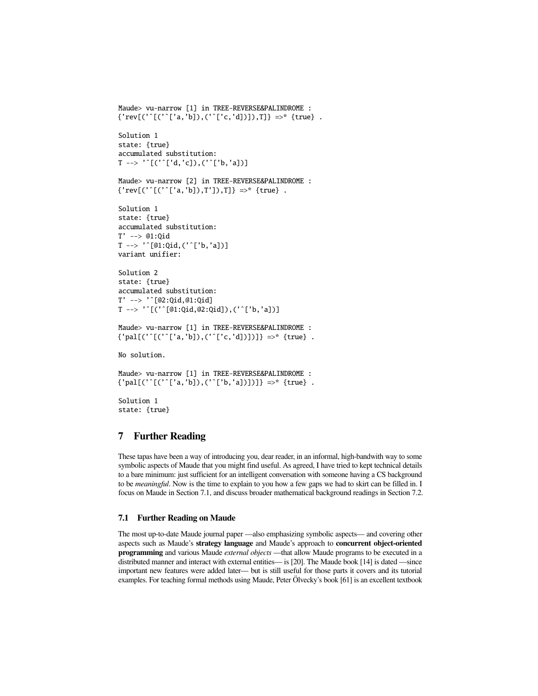```
Maude> vu-narrow [1] in TREE-REVERSE&PALINDROME :
{'rev}[('^(['a', 'b]), ('^(['c', 'd)]), T]} \Rightarrow^{*} {true} .Solution 1
state: {true}
accumulated substitution:
T \rightarrow '[\('\, [ 'd, 'c] ) , (' ' [ 'b, 'a] ) ]Maude> vu-narrow [2] in TREE-REVERSE&PALINDROME :
{'rev}[('^(['a', 'b]), T']), T] = \times {true}.
Solution 1
state: {true}
accumulated substitution:
T' --> @1:Qid
T --> 'ˆ[@1:Qid,('ˆ['b,'a])]
variant unifier:
Solution 2
state: {true}
accumulated substitution:
T' --> 'ˆ[@2:Qid,@1:Qid]
T --> 'ˆ[('ˆ[@1:Qid,@2:Qid]),('ˆ['b,'a])]
Maude> vu-narrow [1] in TREE-REVERSE&PALINDROME :
{'pal[('ˆ[('ˆ['a,'b]),('ˆ['c,'d])])]} =>* {true} .
No solution.
```

```
Maude> vu-narrow [1] in TREE-REVERSE&PALINDROME :
{'pal[('ˆ[('ˆ['a,'b]),('ˆ['b,'a])])]} =>* {true} .
```
Solution 1 state: {true}

### 7 Further Reading

These tapas have been a way of introducing you, dear reader, in an informal, high-bandwith way to some symbolic aspects of Maude that you might find useful. As agreed, I have tried to kept technical details to a bare minimum: just sufficient for an intelligent conversation with someone having a CS background to be *meaningful*. Now is the time to explain to you how a few gaps we had to skirt can be filled in. I focus on Maude in Section 7.1, and discuss broader mathematical background readings in Section 7.2.

#### 7.1 Further Reading on Maude

The most up-to-date Maude journal paper —also emphasizing symbolic aspects— and covering other aspects such as Maude's strategy language and Maude's approach to concurrent object-oriented programming and various Maude *external objects* —that allow Maude programs to be executed in a distributed manner and interact with external entities— is [20]. The Maude book [14] is dated —since important new features were added later— but is still useful for those parts it covers and its tutorial examples. For teaching formal methods using Maude, Peter Ölvecky's book [61] is an excellent textbook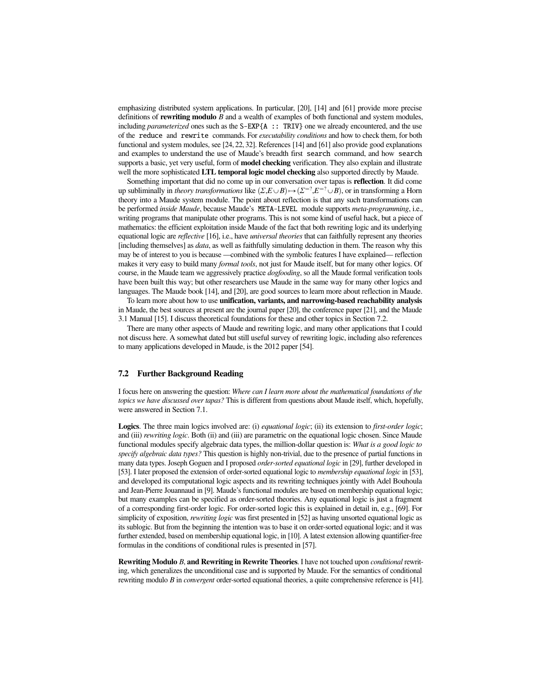emphasizing distributed system applications. In particular, [20], [14] and [61] provide more precise definitions of rewriting modulo *B* and a wealth of examples of both functional and system modules, including *parameterized* ones such as the S-EXP{A :: TRIV} one we already encountered, and the use of the reduce and rewrite commands. For *executability conditions* and how to check them, for both functional and system modules, see [24, 22, 32]. References [14] and [61] also provide good explanations and examples to understand the use of Maude's breadth first search command, and how search supports a basic, yet very useful, form of **model checking** verification. They also explain and illustrate well the more sophisticated LTL temporal logic model checking also supported directly by Maude.

Something important that did no come up in our conversation over tapas is reflection. It did come up subliminally in *theory transformations* like  $(\Sigma, E \cup B) \rightarrow (\Sigma^{-2}, E^{-2} \cup B)$ , or in transforming a Horn<br>theory into a Maude system module. The point about reflection is that any such transformations can theory into a Maude system module. The point about reflection is that any such transformations can be performed *inside Maude*, because Maude's META-LEVEL module supports *meta-programming*, i.e., writing programs that manipulate other programs. This is not some kind of useful hack, but a piece of mathematics: the efficient exploitation inside Maude of the fact that both rewriting logic and its underlying equational logic are *reflective* [16], i.e., have *universal theories* that can faithfully represent any theories [including themselves] as *data*, as well as faithfully simulating deduction in them. The reason why this may be of interest to you is because —combined with the symbolic features I have explained— reflection makes it very easy to build many *formal tools*, not just for Maude itself, but for many other logics. Of course, in the Maude team we aggressively practice *dogfooding*, so all the Maude formal verification tools have been built this way; but other researchers use Maude in the same way for many other logics and languages. The Maude book [14], and [20], are good sources to learn more about reflection in Maude.

To learn more about how to use unification, variants, and narrowing-based reachability analysis in Maude, the best sources at present are the journal paper [20], the conference paper [21], and the Maude 3.1 Manual [15]. I discuss theoretical foundations for these and other topics in Section 7.2.

There are many other aspects of Maude and rewriting logic, and many other applications that I could not discuss here. A somewhat dated but still useful survey of rewriting logic, including also references to many applications developed in Maude, is the 2012 paper [54].

#### 7.2 Further Background Reading

I focus here on answering the question: *Where can I learn more about the mathematical foundations of the topics we have discussed over tapas?* This is different from questions about Maude itself, which, hopefully, were answered in Section 7.1.

Logics. The three main logics involved are: (i) *equational logic*; (ii) its extension to *first-order logic*; and (iii) *rewriting logic*. Both (ii) and (iii) are parametric on the equational logic chosen. Since Maude functional modules specify algebraic data types, the million-dollar question is: *What is a good logic to specify algebraic data types?* This question is highly non-trivial, due to the presence of partial functions in many data types. Joseph Goguen and I proposed *order-sorted equational logic* in [29], further developed in [53]. I later proposed the extension of order-sorted equational logic to *membership equational logic* in [53], and developed its computational logic aspects and its rewriting techniques jointly with Adel Bouhoula and Jean-Pierre Jouannaud in [9]. Maude's functional modules are based on membership equational logic; but many examples can be specified as order-sorted theories. Any equational logic is just a fragment of a corresponding first-order logic. For order-sorted logic this is explained in detail in, e.g., [69]. For simplicity of exposition, *rewriting logic* was first presented in [52] as having unsorted equational logic as its sublogic. But from the beginning the intention was to base it on order-sorted equational logic; and it was further extended, based on membership equational logic, in [10]. A latest extension allowing quantifier-free formulas in the conditions of conditional rules is presented in [57].

Rewriting Modulo *B*, and Rewriting in Rewrite Theories. I have not touched upon *conditional* rewriting, which generalizes the unconditional case and is supported by Maude. For the semantics of conditional rewriting modulo *B* in *convergent* order-sorted equational theories, a quite comprehensive reference is [41].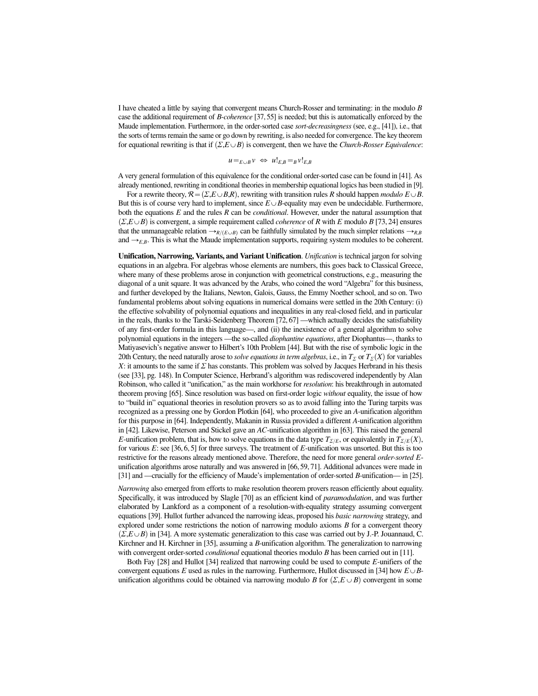I have cheated a little by saying that convergent means Church-Rosser and terminating: in the modulo *B* case the additional requirement of *B*-*coherence* [37, 55] is needed; but this is automatically enforced by the Maude implementation. Furthermore, in the order-sorted case *sort-decreasingness* (see, e.g., [41]), i.e., that the sorts of terms remain the same or go down by rewriting, is also needed for convergence. The key theorem for equational rewriting is that if  $(\Sigma E \cup B)$  is convergent, then we have the *Church-Rosser Equivalence*:

$$
u =_{E \cup B} v \Leftrightarrow u!_{E,B} =_B v!_{E,B}
$$

A very general formulation of this equivalence for the conditional order-sorted case can be found in [41]. As already mentioned, rewriting in conditional theories in membership equational logics has been studied in [9].

For a rewrite theory,  $\mathcal{R} = (\Sigma, E \cup B, R)$ , rewriting with transition rules *R* should happen *modulo*  $E \cup B$ . But this is of course very hard to implement, since  $E \cup B$ -equality may even be undecidable. Furthermore, both the equations *E* and the rules *R* can be *conditional*. However, under the natural assumption that  $(\Sigma, E \cup B)$  is convergent, a simple requirement called *coherence* of *R* with *E* modulo *B* [73, 24] ensures that the unmanageable relation  $\rightarrow_{R/(E \cup B)}$  can be faithfully simulated by the much simpler relations  $\rightarrow_{R,B}$ and  $\rightarrow_{E,B}$ . This is what the Maude implementation supports, requiring system modules to be coherent.

Unification, Narrowing, Variants, and Variant Unification. *Unification* is technical jargon for solving equations in an algebra. For algebras whose elements are numbers, this goes back to Classical Greece, where many of these problems arose in conjunction with geometrical constructions, e.g., measuring the diagonal of a unit square. It was advanced by the Arabs, who coined the word "Algebra" for this business, and further developed by the Italians, Newton, Galois, Gauss, the Emmy Noether school, and so on. Two fundamental problems about solving equations in numerical domains were settled in the 20th Century: (i) the effective solvability of polynomial equations and inequalities in any real-closed field, and in particular in the reals, thanks to the Tarski-Seidenberg Theorem [72, 67] —which actually decides the satisfiability of any first-order formula in this language—, and (ii) the inexistence of a general algorithm to solve polynomial equations in the integers —the so-called *diophantine equations*, after Diophantus—, thanks to Matiyasevich's negative answer to Hilbert's 10th Problem [44]. But with the rise of symbolic logic in the 20th Century, the need naturally arose to *solve equations in term algebras*, i.e., in  $T_\Sigma$  or  $T_\Sigma(X)$  for variables *<sup>X</sup>*: it amounts to the same if Σ has constants. This problem was solved by Jacques Herbrand in his thesis (see [33], pg. 148). In Computer Science, Herbrand's algorithm was rediscovered independently by Alan Robinson, who called it "unification," as the main workhorse for *resolution*: his breakthrough in automated theorem proving [65]. Since resolution was based on first-order logic *without* equality, the issue of how to "build in" equational theories in resolution provers so as to avoid falling into the Turing tarpits was recognized as a pressing one by Gordon Plotkin [64], who proceeded to give an *A*-unification algorithm for this purpose in [64]. Independently, Makanin in Russia provided a different *A*-unification algorithm in [42]. Likewise, Peterson and Stickel gave an *AC*-unification algorithm in [63]. This raised the general *E*-unification problem, that is, how to solve equations in the data type  $T_{\Sigma/E}$ , or equivalently in  $T_{\Sigma/E}(X)$ , for various *E*: see [36, 6, 5] for three surveys. The treatment of *E*-unification was unsorted. But this is too restrictive for the reasons already mentioned above. Therefore, the need for more general *order-sorted E*unification algorithms arose naturally and was answered in [66, 59, 71]. Additional advances were made in [31] and —crucially for the efficiency of Maude's implementation of order-sorted *B*-unification— in [25].

*Narrowing* also emerged from efforts to make resolution theorem provers reason efficiently about equality. Specifically, it was introduced by Slagle [70] as an efficient kind of *paramodulation*, and was further elaborated by Lankford as a component of a resolution-with-equality strategy assuming convergent equations [39]. Hullot further advanced the narrowing ideas, proposed his *basic narrowing* strategy, and explored under some restrictions the notion of narrowing modulo axioms *B* for a convergent theory  $(\Sigma, E \cup B)$  in [34]. A more systematic generalization to this case was carried out by J.-P. Jouannaud, C. Kirchner and H. Kirchner in [35], assuming a *B*-unification algorithm. The generalization to narrowing with convergent order-sorted *conditional* equational theories modulo *B* has been carried out in [11].

Both Fay [28] and Hullot [34] realized that narrowing could be used to compute *E*-unifiers of the convergent equations *E* used as rules in the narrowing. Furthermore, Hullot discussed in [34] how  $E \cup B$ unification algorithms could be obtained via narrowing modulo *B* for  $(\Sigma, E \cup B)$  convergent in some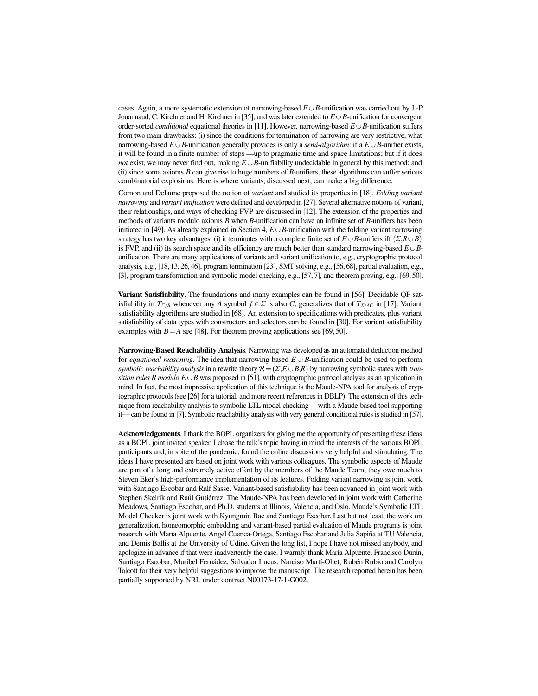cases. Again, a more systematic extension of narrowing-based  $E \cup B$ -unification was carried out by J.-P. Jouannaud, C. Kirchner and H. Kirchner in [35], and was later extended to  $E \cup B$ -unification for convergent order-sorted *conditional* equational theories in [11]. However, narrowing-based  $E \cup B$ -unification suffers from two main drawbacks: (i) since the conditions for termination of narrowing are very restrictive, what narrowing-based  $E \cup B$ -unification generally provides is only a *semi-algorithm*: if a  $E \cup B$ -unifier exists, it will be found in a finite number of steps —up to pragmatic time and space limitations; but if it does *not* exist, we may never find out, making  $E \cup B$ -unifiability undecidable in general by this method; and (ii) since some axioms *B* can give rise to huge numbers of *B*-unifiers, these algorithms can suffer serious combinatorial explosions. Here is where variants, discussed next, can make a big difference.

Comon and Delaune proposed the notion of *variant* and studied its properties in [18]. *Folding variant narrowing* and *variant unification* were defined and developed in [27]. Several alternative notions of variant, their relationships, and ways of checking FVP are discussed in [12]. The extension of the properties and methods of variants modulo axioms *B* when *B*-unification can have an infinite set of *B*-unifiers has been initiated in [49]. As already explained in Section 4,  $E \cup B$ -unification with the folding variant narrowing strategy has two key advantages: (i) it terminates with a complete finite set of  $E \cup B$ -unifiers iff  $(\Sigma R \cup B)$ is FVP, and (ii) its search space and its efficiency are much better than standard narrowing-based  $E \cup B$ unification. There are many applications of variants and variant unification to, e.g., cryptographic protocol analysis, e.g., [18, 13, 26, 46], program termination [23], SMT solving, e.g., [56, 68], partial evaluation, e.g., [3], program transformation and symbolic model checking, e.g., [57, 7], and theorem proving, e.g., [69, 50].

Variant Satisfiability. The foundations and many examples can be found in [56]. Decidable QF satisfiability in  $T_{\Sigma/B}$  whenever any *A* symbol  $f \in \Sigma$  is also *C*, generalizes that of  $T_{\Sigma/AC}$  in [17]. Variant satisfiability algorithms are studied in [68]. An extension to specifications with predicates, plus variant satisfiability of data types with constructors and selectors can be found in [30]. For variant satisfiability examples with  $B = A$  see [48]. For theorem proving applications see [69, 50].

Narrowing-Based Reachability Analysis. Narrowing was developed as an automated deduction method for *equational reasoning*. The idea that narrowing based  $E \cup B$ -unification could be used to perform *symbolic reachability analysis* in a rewrite theory  $\mathcal{R} = (\Sigma, E \cup B, R)$  by narrowing symbolic states with *transition rules R modulo*  $E \cup B$  was proposed in [51], with cryptographic protocol analysis as an application in mind. In fact, the most impressive application of this technique is the Maude-NPA tool for analysis of cryptographic protocols (see [26] for a tutorial, and more recent references in DBLP). The extension of this technique from reachability analysis to symbolic LTL model checking —with a Maude-based tool supporting it— can be found in [7]. Symbolic reachability analysis with very general conditional rules is studied in [57].

Acknowledgements. I thank the BOPL organizers for giving me the opportunity of presenting these ideas as a BOPL joint invited speaker. I chose the talk's topic having in mind the interests of the various BOPL participants and, in spite of the pandemic, found the online discussions very helpful and stimulating. The ideas I have presented are based on joint work with various colleagues. The symbolic aspects of Maude are part of a long and extremely active effort by the members of the Maude Team; they owe much to Steven Eker's high-performance implementation of its features. Folding variant narrowing is joint work with Santiago Escobar and Ralf Sasse. Variant-based satisfiability has been advanced in joint work with Stephen Skeirik and Raúl Gutiérrez. The Maude-NPA has been developed in joint work with Catherine Meadows, Santiago Escobar, and Ph.D. students at Illinois, Valencia, and Oslo. Maude's Symbolic LTL Model Checker is joint work with Kyungmin Bae and Santiago Escobar. Last but not least, the work on generalization, homeomorphic embedding and variant-based partial evaluation of Maude programs is joint research with María Alpuente, Angel Cuenca-Ortega, Santiago Escobar and Julia Sapiña at TU Valencia, and Demis Ballis at the University of Udine. Given the long list, I hope I have not missed anybody, and apologize in advance if that were inadvertently the case. I warmly thank María Alpuente, Francisco Durán, Santiago Escobar, Maribel Fernádez, Salvador Lucas, Narciso Martí-Oliet, Rubén Rubio and Carolyn Talcott for their very helpful suggestions to improve the manuscript. The research reported herein has been partially supported by NRL under contract N00173-17-1-G002.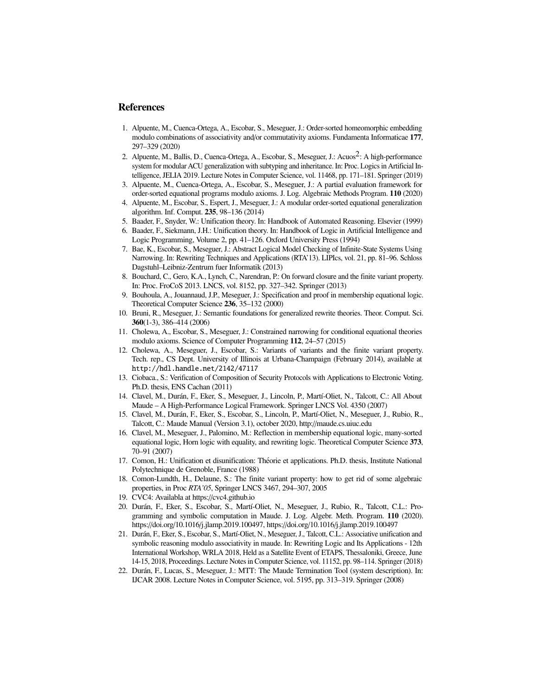#### References

- 1. Alpuente, M., Cuenca-Ortega, A., Escobar, S., Meseguer, J.: Order-sorted homeomorphic embedding modulo combinations of associativity and/or commutativity axioms. Fundamenta Informaticae 177, 297–329 (2020)
- 2. Alpuente, M., Ballis, D., Cuenca-Ortega, A., Escobar, S., Meseguer, J.: Acuos<sup>2</sup>: A high-performance system for modular ACU generalization with subtyping and inheritance. In: Proc. Logics in Artificial Intelligence, JELIA 2019. Lecture Notes in Computer Science, vol. 11468, pp. 171–181. Springer (2019)
- 3. Alpuente, M., Cuenca-Ortega, A., Escobar, S., Meseguer, J.: A partial evaluation framework for order-sorted equational programs modulo axioms. J. Log. Algebraic Methods Program. 110 (2020)
- 4. Alpuente, M., Escobar, S., Espert, J., Meseguer, J.: A modular order-sorted equational generalization algorithm. Inf. Comput. 235, 98–136 (2014)
- 5. Baader, F., Snyder, W.: Unification theory. In: Handbook of Automated Reasoning. Elsevier (1999)
- 6. Baader, F., Siekmann, J.H.: Unification theory. In: Handbook of Logic in Artificial Intelligence and Logic Programming, Volume 2, pp. 41–126. Oxford University Press (1994)
- 7. Bae, K., Escobar, S., Meseguer, J.: Abstract Logical Model Checking of Infinite-State Systems Using Narrowing. In: Rewriting Techniques and Applications (RTA'13). LIPIcs, vol. 21, pp. 81–96. Schloss Dagstuhl–Leibniz-Zentrum fuer Informatik (2013)
- 8. Bouchard, C., Gero, K.A., Lynch, C., Narendran, P.: On forward closure and the finite variant property. In: Proc. FroCoS 2013. LNCS, vol. 8152, pp. 327–342. Springer (2013)
- 9. Bouhoula, A., Jouannaud, J.P., Meseguer, J.: Specification and proof in membership equational logic. Theoretical Computer Science 236, 35–132 (2000)
- 10. Bruni, R., Meseguer, J.: Semantic foundations for generalized rewrite theories. Theor. Comput. Sci. 360(1-3), 386–414 (2006)
- 11. Cholewa, A., Escobar, S., Meseguer, J.: Constrained narrowing for conditional equational theories modulo axioms. Science of Computer Programming 112, 24–57 (2015)
- 12. Cholewa, A., Meseguer, J., Escobar, S.: Variants of variants and the finite variant property. Tech. rep., CS Dept. University of Illinois at Urbana-Champaign (February 2014), available at http://hdl.handle.net/2142/47117
- 13. Ciobaca., S.: Verification of Composition of Security Protocols with Applications to Electronic Voting. Ph.D. thesis, ENS Cachan (2011)
- 14. Clavel, M., Durán, F., Eker, S., Meseguer, J., Lincoln, P., Martí-Oliet, N., Talcott, C.: All About Maude – A High-Performance Logical Framework. Springer LNCS Vol. 4350 (2007)
- 15. Clavel, M., Durán, F., Eker, S., Escobar, S., Lincoln, P., Martí-Oliet, N., Meseguer, J., Rubio, R., Talcott, C.: Maude Manual (Version 3.1), october 2020, http://maude.cs.uiuc.edu
- 16. Clavel, M., Meseguer, J., Palomino, M.: Reflection in membership equational logic, many-sorted equational logic, Horn logic with equality, and rewriting logic. Theoretical Computer Science 373, 70–91 (2007)
- 17. Comon, H.: Unification et disunification: Theorie et applications. Ph.D. thesis, Institute National ´ Polytechnique de Grenoble, France (1988)
- 18. Comon-Lundth, H., Delaune, S.: The finite variant property: how to get rid of some algebraic properties, in Proc *RTA'05*, Springer LNCS 3467, 294–307, 2005
- 19. CVC4: Availabla at https://cvc4.github.io
- 20. Durán, F., Eker, S., Escobar, S., Martí-Oliet, N., Meseguer, J., Rubio, R., Talcott, C.L.: Programming and symbolic computation in Maude. J. Log. Algebr. Meth. Program. 110 (2020). https://doi.org/10.1016/j.jlamp.2019.100497, https://doi.org/10.1016/j.jlamp.2019.100497
- 21. Durán, F., Eker, S., Escobar, S., Martí-Oliet, N., Meseguer, J., Talcott, C.L.: Associative unification and symbolic reasoning modulo associativity in maude. In: Rewriting Logic and Its Applications - 12th International Workshop, WRLA 2018, Held as a Satellite Event of ETAPS, Thessaloniki, Greece, June 14-15, 2018, Proceedings. Lecture Notes in Computer Science, vol. 11152, pp. 98–114. Springer (2018)
- 22. Durán, F., Lucas, S., Meseguer, J.: MTT: The Maude Termination Tool (system description). In: IJCAR 2008. Lecture Notes in Computer Science, vol. 5195, pp. 313–319. Springer (2008)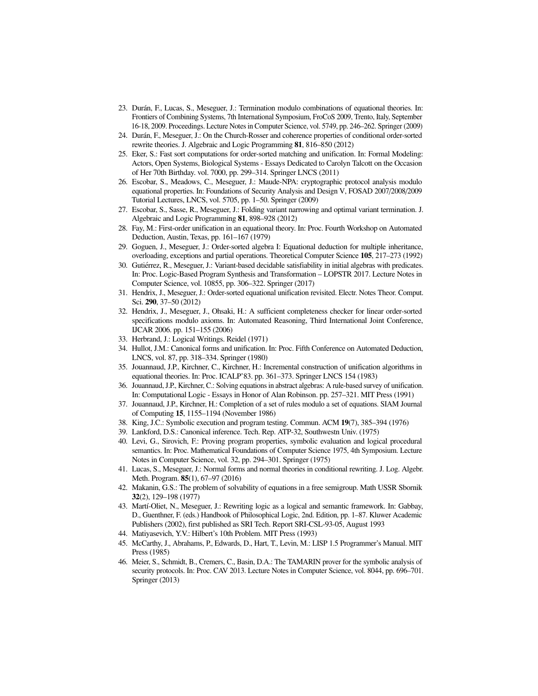- 23. Durán, F., Lucas, S., Meseguer, J.: Termination modulo combinations of equational theories. In: Frontiers of Combining Systems, 7th International Symposium, FroCoS 2009, Trento, Italy, September 16-18, 2009. Proceedings. Lecture Notes in Computer Science, vol. 5749, pp. 246–262. Springer (2009)
- 24. Durán, F., Meseguer, J.: On the Church-Rosser and coherence properties of conditional order-sorted rewrite theories. J. Algebraic and Logic Programming 81, 816–850 (2012)
- 25. Eker, S.: Fast sort computations for order-sorted matching and unification. In: Formal Modeling: Actors, Open Systems, Biological Systems - Essays Dedicated to Carolyn Talcott on the Occasion of Her 70th Birthday. vol. 7000, pp. 299–314. Springer LNCS (2011)
- 26. Escobar, S., Meadows, C., Meseguer, J.: Maude-NPA: cryptographic protocol analysis modulo equational properties. In: Foundations of Security Analysis and Design V, FOSAD 2007/2008/2009 Tutorial Lectures, LNCS, vol. 5705, pp. 1–50. Springer (2009)
- 27. Escobar, S., Sasse, R., Meseguer, J.: Folding variant narrowing and optimal variant termination. J. Algebraic and Logic Programming 81, 898–928 (2012)
- 28. Fay, M.: First-order unification in an equational theory. In: Proc. Fourth Workshop on Automated Deduction, Austin, Texas, pp. 161–167 (1979)
- 29. Goguen, J., Meseguer, J.: Order-sorted algebra I: Equational deduction for multiple inheritance, overloading, exceptions and partial operations. Theoretical Computer Science 105, 217–273 (1992)
- 30. Gutiérrez, R., Meseguer, J.: Variant-based decidable satisfiability in initial algebras with predicates. In: Proc. Logic-Based Program Synthesis and Transformation – LOPSTR 2017. Lecture Notes in Computer Science, vol. 10855, pp. 306–322. Springer (2017)
- 31. Hendrix, J., Meseguer, J.: Order-sorted equational unification revisited. Electr. Notes Theor. Comput. Sci. 290, 37–50 (2012)
- 32. Hendrix, J., Meseguer, J., Ohsaki, H.: A sufficient completeness checker for linear order-sorted specifications modulo axioms. In: Automated Reasoning, Third International Joint Conference, IJCAR 2006. pp. 151–155 (2006)
- 33. Herbrand, J.: Logical Writings. Reidel (1971)
- 34. Hullot, J.M.: Canonical forms and unification. In: Proc. Fifth Conference on Automated Deduction, LNCS, vol. 87, pp. 318–334. Springer (1980)
- 35. Jouannaud, J.P., Kirchner, C., Kirchner, H.: Incremental construction of unification algorithms in equational theories. In: Proc. ICALP'83. pp. 361–373. Springer LNCS 154 (1983)
- 36. Jouannaud, J.P., Kirchner, C.: Solving equations in abstract algebras: A rule-based survey of unification. In: Computational Logic - Essays in Honor of Alan Robinson. pp. 257–321. MIT Press (1991)
- 37. Jouannaud, J.P., Kirchner, H.: Completion of a set of rules modulo a set of equations. SIAM Journal of Computing 15, 1155–1194 (November 1986)
- 38. King, J.C.: Symbolic execution and program testing. Commun. ACM 19(7), 385–394 (1976)
- 39. Lankford, D.S.: Canonical inference. Tech. Rep. ATP-32, Southwestn Univ. (1975)
- 40. Levi, G., Sirovich, F.: Proving program properties, symbolic evaluation and logical procedural semantics. In: Proc. Mathematical Foundations of Computer Science 1975, 4th Symposium. Lecture Notes in Computer Science, vol. 32, pp. 294–301. Springer (1975)
- 41. Lucas, S., Meseguer, J.: Normal forms and normal theories in conditional rewriting. J. Log. Algebr. Meth. Program. 85(1), 67–97 (2016)
- 42. Makanin, G.S.: The problem of solvability of equations in a free semigroup. Math USSR Sbornik 32(2), 129–198 (1977)
- 43. Martí-Oliet, N., Meseguer, J.: Rewriting logic as a logical and semantic framework. In: Gabbay, D., Guenthner, F. (eds.) Handbook of Philosophical Logic, 2nd. Edition, pp. 1–87. Kluwer Academic Publishers (2002), first published as SRI Tech. Report SRI-CSL-93-05, August 1993
- 44. Matiyasevich, Y.V.: Hilbert's 10th Problem. MIT Press (1993)
- 45. McCarthy, J., Abrahams, P., Edwards, D., Hart, T., Levin, M.: LISP 1.5 Programmer's Manual. MIT Press (1985)
- 46. Meier, S., Schmidt, B., Cremers, C., Basin, D.A.: The TAMARIN prover for the symbolic analysis of security protocols. In: Proc. CAV 2013. Lecture Notes in Computer Science, vol. 8044, pp. 696–701. Springer (2013)